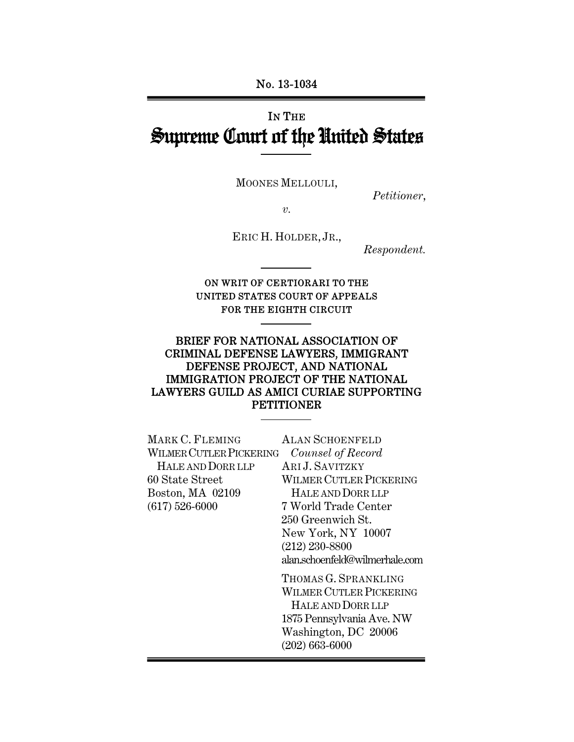# IN THE Supreme Court of the United States

MOONES MELLOULI,

*Petitioner*,

*v.* 

ERIC H. HOLDER, JR.,

*Respondent.* 

### ON WRIT OF CERTIORARI TO THE UNITED STATES COURT OF APPEALS FOR THE EIGHTH CIRCUIT

### BRIEF FOR NATIONAL ASSOCIATION OF CRIMINAL DEFENSE LAWYERS, IMMIGRANT DEFENSE PROJECT, AND NATIONAL IMMIGRATION PROJECT OF THE NATIONAL LAWYERS GUILD AS AMICI CURIAE SUPPORTING PETITIONER

| MARK C. FLEMING         | <b>ALAN SCHOENFELD</b>         |
|-------------------------|--------------------------------|
| WILMER CUTLER PICKERING | Counsel of Record              |
| HALE AND DORR LLP       | ARI J. SAVITZKY                |
| 60 State Street         | WILMER CUTLER PICKERING        |
| Boston, MA 02109        | HALE AND DORR LLP              |
| $(617) 526 - 6000$      | 7 World Trade Center           |
|                         | 250 Greenwich St.              |
|                         | New York, NY 10007             |
|                         | $(212)$ 230-8800               |
|                         | alan.schoenfeld@wilmerhale.com |
|                         | THOMAS G. SPRANKLING           |
|                         | <b>WILMER CUTLER PICKERING</b> |
|                         | HALE AND DORR LLP              |
|                         | 1875 Pennsylvania Ave. NW      |
|                         | Washington, DC 20006           |
|                         | $(202) 663 - 6000$             |
|                         |                                |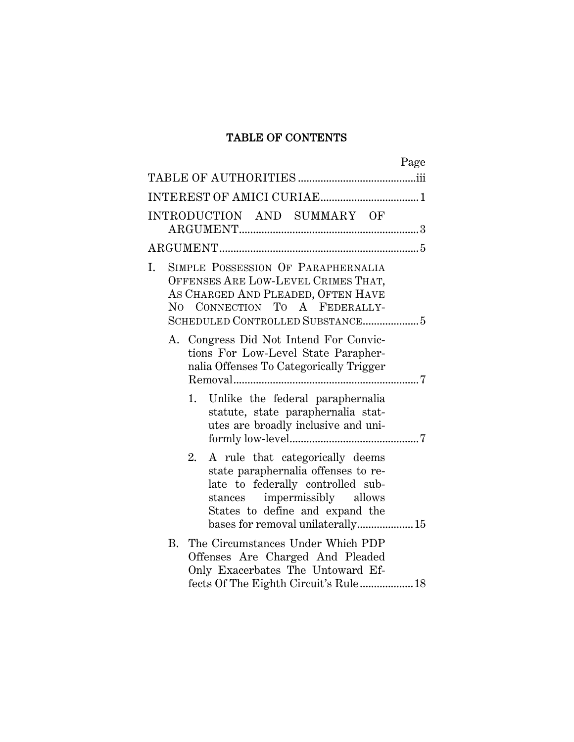## TABLE OF CONTENTS

| Page                                                                                                                                                                                                                     |
|--------------------------------------------------------------------------------------------------------------------------------------------------------------------------------------------------------------------------|
|                                                                                                                                                                                                                          |
|                                                                                                                                                                                                                          |
| INTRODUCTION AND SUMMARY OF                                                                                                                                                                                              |
|                                                                                                                                                                                                                          |
| SIMPLE POSSESSION OF PARAPHERNALIA<br>I.<br>OFFENSES ARE LOW-LEVEL CRIMES THAT,<br>AS CHARGED AND PLEADED, OFTEN HAVE<br>CONNECTION TO A FEDERALLY-<br>$\rm No$                                                          |
| A. Congress Did Not Intend For Convic-<br>tions For Low-Level State Parapher-<br>nalia Offenses To Categorically Trigger                                                                                                 |
| Unlike the federal paraphernalia<br>1.<br>statute, state paraphernalia stat-<br>utes are broadly inclusive and uni-                                                                                                      |
| A rule that categorically deems<br>2.<br>state paraphernalia offenses to re-<br>late to federally controlled sub-<br>stances impermissibly allows<br>States to define and expand the<br>bases for removal unilaterally15 |
| B.<br>The Circumstances Under Which PDP<br>Offenses Are Charged And Pleaded<br>Only Exacerbates The Untoward Ef-                                                                                                         |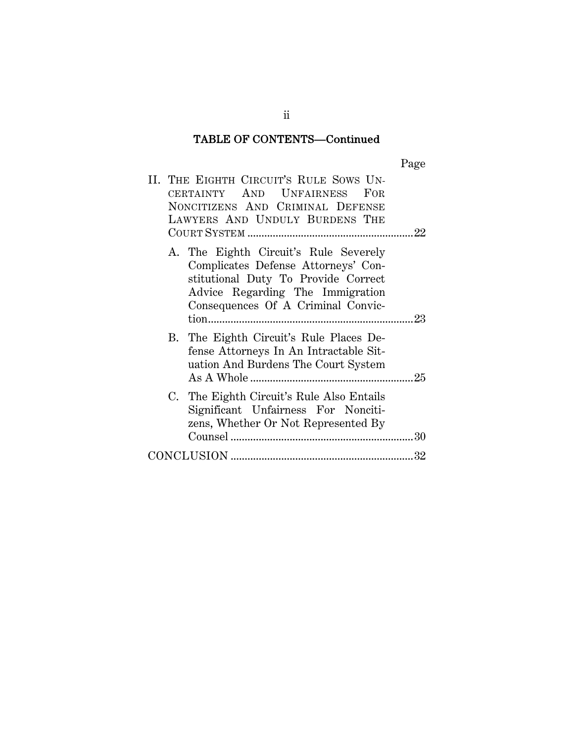## TABLE OF CONTENTS—Continued

|--|

|  | II. THE EIGHTH CIRCUIT'S RULE SOWS UN-<br>CERTAINTY AND UNFAIRNESS FOR<br>NONCITIZENS AND CRIMINAL DEFENSE<br>LAWYERS AND UNDULY BURDENS THE                                                  |  |
|--|-----------------------------------------------------------------------------------------------------------------------------------------------------------------------------------------------|--|
|  | A. The Eighth Circuit's Rule Severely<br>Complicates Defense Attorneys' Con-<br>stitutional Duty To Provide Correct<br>Advice Regarding The Immigration<br>Consequences Of A Criminal Convic- |  |
|  | B. The Eighth Circuit's Rule Places De-<br>fense Attorneys In An Intractable Sit-<br>uation And Burdens The Court System                                                                      |  |
|  | C. The Eighth Circuit's Rule Also Entails<br>Significant Unfairness For Nonciti-<br>zens, Whether Or Not Represented By                                                                       |  |
|  |                                                                                                                                                                                               |  |

ii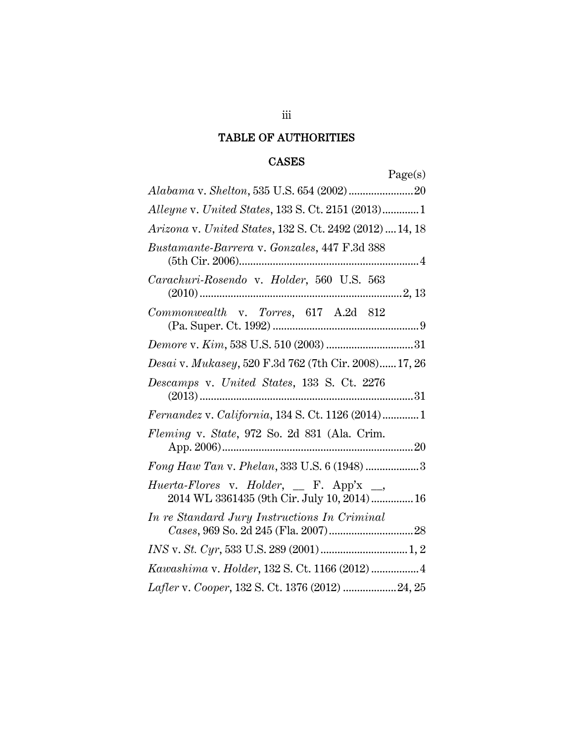## TABLE OF AUTHORITIES

## CASES

| Page(s)                                                                                |
|----------------------------------------------------------------------------------------|
|                                                                                        |
| Alleyne v. United States, 133 S. Ct. 2151 (2013)1                                      |
| Arizona v. United States, 132 S. Ct. 2492 (2012)  14, 18                               |
| Bustamante-Barrera v. Gonzales, 447 F.3d 388                                           |
| Carachuri-Rosendo v. Holder, 560 U.S. 563                                              |
| Commonwealth v. Torres, 617 A.2d 812                                                   |
|                                                                                        |
| Desai v. Mukasey, 520 F.3d 762 (7th Cir. 2008) 17, 26                                  |
| Descamps v. United States, 133 S. Ct. 2276                                             |
| Fernandez v. California, 134 S. Ct. 1126 (2014)1                                       |
| Fleming v. State, 972 So. 2d 831 (Ala. Crim.                                           |
| Fong Haw Tan v. Phelan, 333 U.S. 6 (1948) 3                                            |
| Huerta-Flores v. Holder, _ F. App'x _,<br>2014 WL 3361435 (9th Cir. July 10, 2014)  16 |
| In re Standard Jury Instructions In Criminal                                           |
|                                                                                        |
| Kawashima v. Holder, 132 S. Ct. 1166 (2012)  4                                         |
| Lafler v. Cooper, 132 S. Ct. 1376 (2012)  24, 25                                       |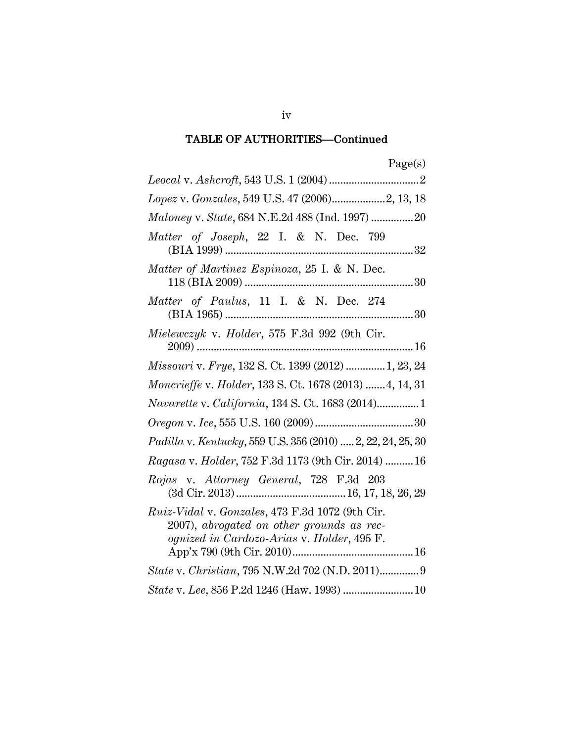| Lopez v. Gonzales, 549 U.S. 47 (2006)2, 13, 18                                                                                             |
|--------------------------------------------------------------------------------------------------------------------------------------------|
| Maloney v. State, 684 N.E.2d 488 (Ind. 1997) 20                                                                                            |
| Matter of Joseph, 22 I. & N. Dec. 799                                                                                                      |
| Matter of Martinez Espinoza, 25 I. & N. Dec.                                                                                               |
| Matter of Paulus, 11 I. & N. Dec. 274                                                                                                      |
| Mielewczyk v. Holder, 575 F.3d 992 (9th Cir.                                                                                               |
| Missouri v. Frye, 132 S. Ct. 1399 (2012)  1, 23, 24                                                                                        |
| Moncrieffe v. Holder, 133 S. Ct. 1678 (2013)  4, 14, 31                                                                                    |
| Navarette v. California, 134 S. Ct. 1683 (2014)1                                                                                           |
|                                                                                                                                            |
| Padilla v. Kentucky, 559 U.S. 356 (2010)  2, 22, 24, 25, 30                                                                                |
| Ragasa v. Holder, 752 F.3d 1173 (9th Cir. 2014)  16                                                                                        |
| Rojas v. Attorney General, 728 F.3d 203                                                                                                    |
| Ruiz-Vidal v. Gonzales, 473 F.3d 1072 (9th Cir.<br>2007), abrogated on other grounds as rec-<br>ognized in Cardozo-Arias v. Holder, 495 F. |
| State v. Christian, 795 N.W.2d 702 (N.D. 2011) 9                                                                                           |
| State v. Lee, 856 P.2d 1246 (Haw. 1993)  10                                                                                                |

iv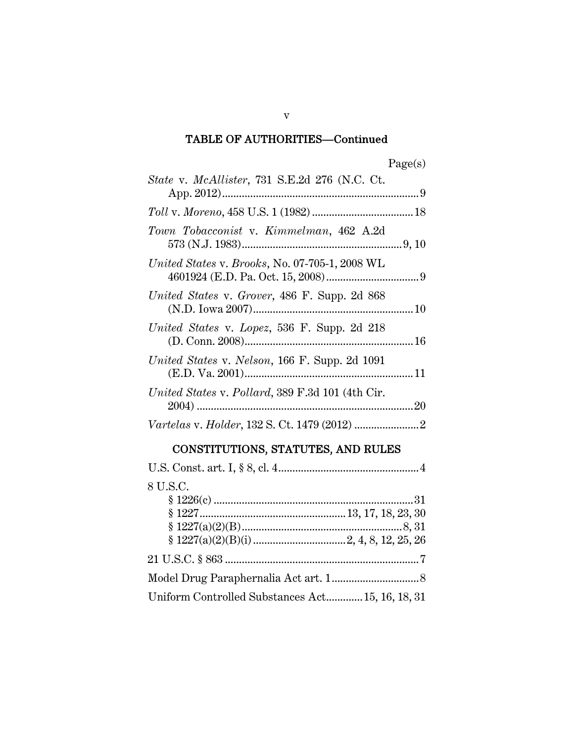| rc<br>0<br>÷<br>. . |  |
|---------------------|--|
|                     |  |

| State v. McAllister, 731 S.E.2d 276 (N.C. Ct.    |  |
|--------------------------------------------------|--|
|                                                  |  |
| Town Tobacconist v. Kimmelman, 462 A.2d          |  |
| United States v. Brooks, No. 07-705-1, 2008 WL   |  |
| United States v. Grover, 486 F. Supp. 2d 868     |  |
| United States v. Lopez, 536 F. Supp. 2d 218      |  |
| United States v. Nelson, 166 F. Supp. 2d 1091    |  |
| United States v. Pollard, 389 F.3d 101 (4th Cir. |  |
|                                                  |  |
|                                                  |  |

## CONSTITUTIONS, STATUTES, AND RULES

| 8 U.S.C.                                         |  |
|--------------------------------------------------|--|
|                                                  |  |
|                                                  |  |
|                                                  |  |
|                                                  |  |
|                                                  |  |
|                                                  |  |
| Uniform Controlled Substances Act 15, 16, 18, 31 |  |

v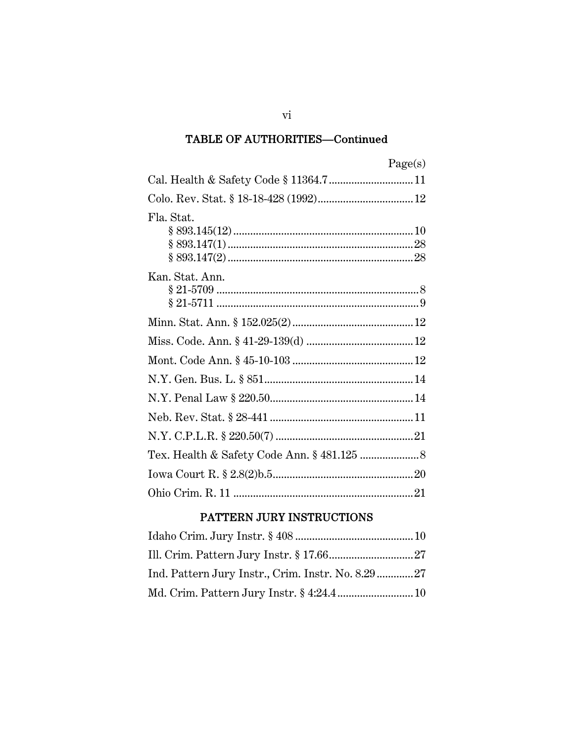|                 | Page(s) |
|-----------------|---------|
|                 |         |
|                 |         |
| Fla. Stat.      |         |
| Kan. Stat. Ann. |         |
|                 |         |
|                 |         |
|                 |         |
|                 |         |
|                 |         |
|                 |         |
|                 |         |
|                 |         |
|                 |         |
|                 |         |

## PATTERN JURY INSTRUCTIONS

 $\overline{\text{vi}}$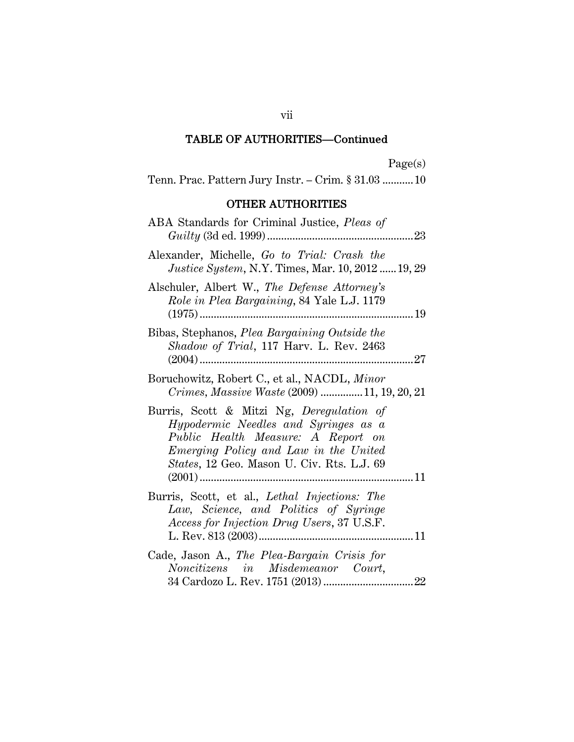Page(s)

Tenn. Prac. Pattern Jury Instr. – Crim. § 31.03 ........... 10

## OTHER AUTHORITIES

| ABA Standards for Criminal Justice, Pleas of<br>23                                                                                                                                                                    |
|-----------------------------------------------------------------------------------------------------------------------------------------------------------------------------------------------------------------------|
| Alexander, Michelle, Go to Trial: Crash the<br><i>Justice System, N.Y. Times, Mar. 10, 2012  19, 29</i>                                                                                                               |
| Alschuler, Albert W., The Defense Attorney's<br>Role in Plea Bargaining, 84 Yale L.J. 1179                                                                                                                            |
| Bibas, Stephanos, Plea Bargaining Outside the<br>Shadow of Trial, 117 Harv. L. Rev. 2463                                                                                                                              |
| Boruchowitz, Robert C., et al., NACDL, Minor<br>Crimes, Massive Waste (2009) 11, 19, 20, 21                                                                                                                           |
| Burris, Scott & Mitzi Ng, Deregulation of<br>Hypodermic Needles and Syringes as a<br>Public Health Measure: A Report on<br><i>Emerging Policy and Law in the United</i><br>States, 12 Geo. Mason U. Civ. Rts. L.J. 69 |
| Burris, Scott, et al., Lethal Injections: The<br>Law, Science, and Politics of Syringe<br>Access for Injection Drug Users, 37 U.S.F.                                                                                  |
| Cade, Jason A., The Plea-Bargain Crisis for<br>Noncitizens in Misdemeanor Court,                                                                                                                                      |

vii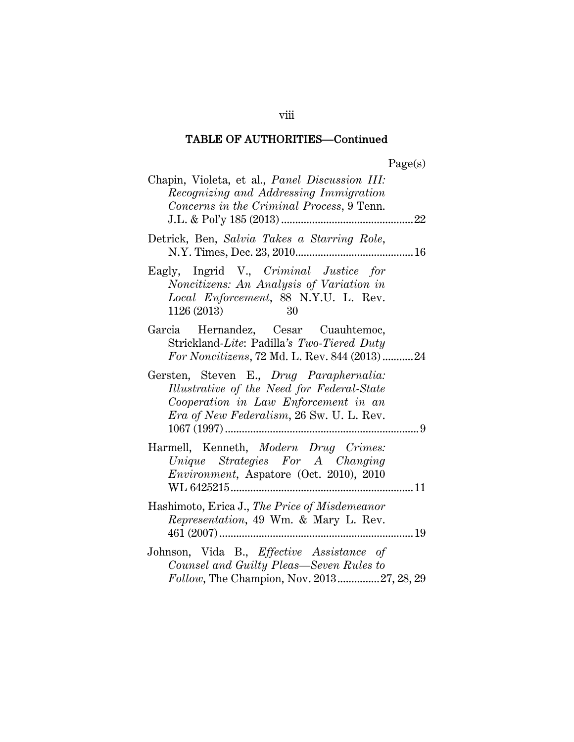| Chapin, Violeta, et al., Panel Discussion III:<br>Recognizing and Addressing Immigration<br>Concerns in the Criminal Process, 9 Tenn.                                             |  |
|-----------------------------------------------------------------------------------------------------------------------------------------------------------------------------------|--|
| Detrick, Ben, Salvia Takes a Starring Role,                                                                                                                                       |  |
| Eagly, Ingrid V., Criminal Justice for<br>Noncitizens: An Analysis of Variation in<br>Local Enforcement, 88 N.Y.U. L. Rev.<br>1126 (2013)<br>- 30                                 |  |
| Garcia Hernandez, Cesar Cuauhtemoc,<br>Strickland-Lite: Padilla's Two-Tiered Duty<br>For Noncitizens, 72 Md. L. Rev. 844 (2013) 24                                                |  |
| Gersten, Steven E., Drug Paraphernalia:<br>Illustrative of the Need for Federal-State<br>Cooperation in Law Enforcement in an<br><i>Era of New Federalism</i> , 26 Sw. U. L. Rev. |  |
| Harmell, Kenneth, Modern Drug Crimes:<br>Unique Strategies For A Changing<br>Environment, Aspatore (Oct. 2010), 2010                                                              |  |
| Hashimoto, Erica J., The Price of Misdemeanor<br>Representation, 49 Wm. & Mary L. Rev.                                                                                            |  |
| Johnson, Vida B., Effective Assistance of<br>Counsel and Guilty Pleas—Seven Rules to<br>Follow, The Champion, Nov. 201327, 28, 29                                                 |  |

viii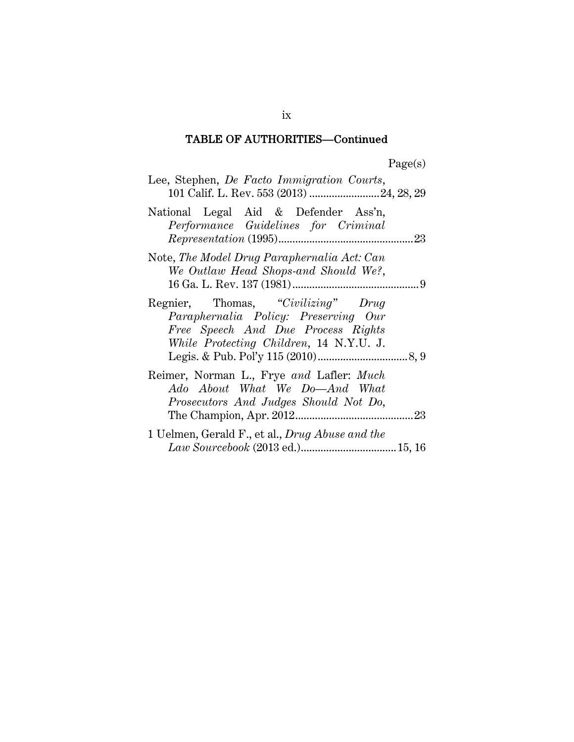| Lee, Stephen, <i>De Facto Immigration Courts</i> ,<br>101 Calif. L. Rev. 553 (2013)  24, 28, 29                                                             |  |
|-------------------------------------------------------------------------------------------------------------------------------------------------------------|--|
| National Legal Aid & Defender Ass'n,<br>Performance Guidelines for Criminal                                                                                 |  |
| Note, The Model Drug Paraphernalia Act: Can<br>We Outlaw Head Shops-and Should We?,                                                                         |  |
| Regnier, Thomas, "Civilizing" Drug<br>Paraphernalia Policy: Preserving Our<br>Free Speech And Due Process Rights<br>While Protecting Children, 14 N.Y.U. J. |  |
| Reimer, Norman L., Frye and Lafler: Much<br>Ado About What We Do-And What<br>Prosecutors And Judges Should Not Do,                                          |  |
| 1 Uelmen, Gerald F., et al., Drug Abuse and the                                                                                                             |  |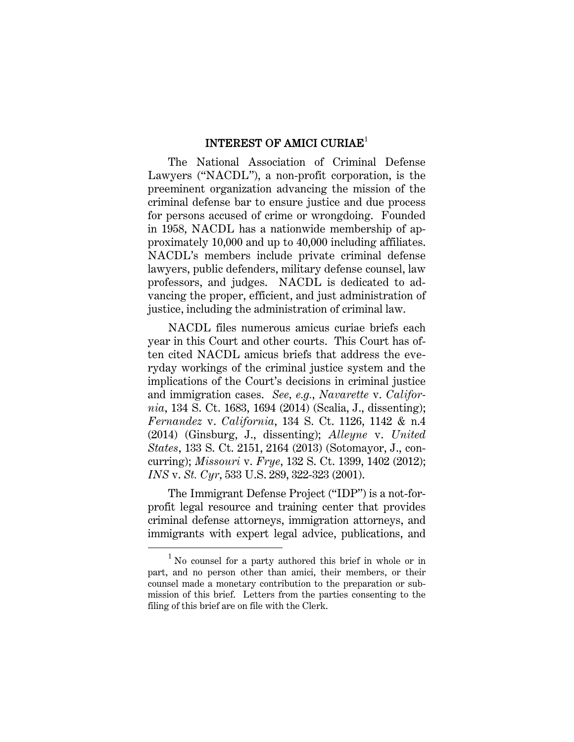#### INTEREST OF AMICI CURIAE<sup>1</sup>

The National Association of Criminal Defense Lawyers ("NACDL"), a non-profit corporation, is the preeminent organization advancing the mission of the criminal defense bar to ensure justice and due process for persons accused of crime or wrongdoing. Founded in 1958, NACDL has a nationwide membership of approximately 10,000 and up to 40,000 including affiliates. NACDL's members include private criminal defense lawyers, public defenders, military defense counsel, law professors, and judges. NACDL is dedicated to advancing the proper, efficient, and just administration of justice, including the administration of criminal law.

NACDL files numerous amicus curiae briefs each year in this Court and other courts. This Court has often cited NACDL amicus briefs that address the everyday workings of the criminal justice system and the implications of the Court's decisions in criminal justice and immigration cases. *See, e.g.*, *Navarette* v. *California*, 134 S. Ct. 1683, 1694 (2014) (Scalia, J., dissenting); *Fernandez* v. *California*, 134 S. Ct. 1126, 1142 & n.4 (2014) (Ginsburg, J., dissenting); *Alleyne* v. *United States*, 133 S. Ct. 2151, 2164 (2013) (Sotomayor, J., concurring); *Missouri* v. *Frye*, 132 S. Ct. 1399, 1402 (2012); *INS* v. *St. Cyr*, 533 U.S. 289, 322-323 (2001).

The Immigrant Defense Project ("IDP") is a not-forprofit legal resource and training center that provides criminal defense attorneys, immigration attorneys, and immigrants with expert legal advice, publications, and

<sup>1</sup> No counsel for a party authored this brief in whole or in part, and no person other than amici, their members, or their counsel made a monetary contribution to the preparation or submission of this brief. Letters from the parties consenting to the filing of this brief are on file with the Clerk.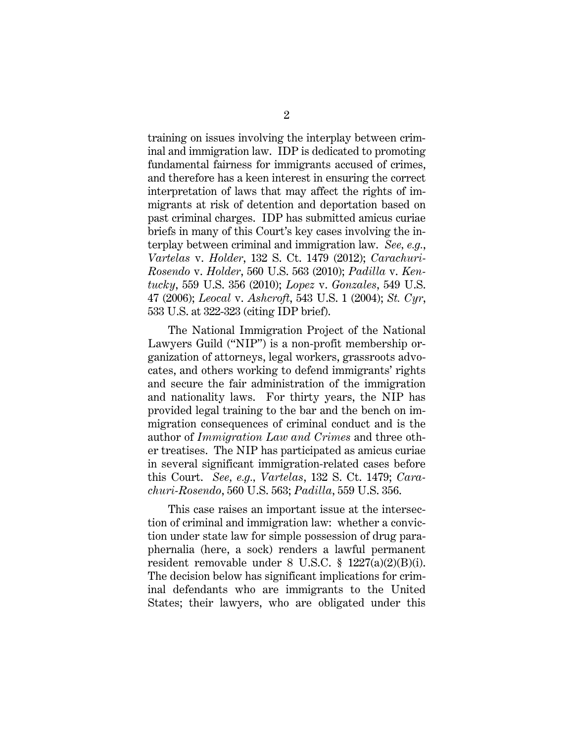training on issues involving the interplay between criminal and immigration law. IDP is dedicated to promoting fundamental fairness for immigrants accused of crimes, and therefore has a keen interest in ensuring the correct interpretation of laws that may affect the rights of immigrants at risk of detention and deportation based on past criminal charges. IDP has submitted amicus curiae briefs in many of this Court's key cases involving the interplay between criminal and immigration law. *See, e.g.*, *Vartelas* v. *Holder*, 132 S. Ct. 1479 (2012); *Carachuri-Rosendo* v. *Holder*, 560 U.S. 563 (2010); *Padilla* v. *Kentucky*, 559 U.S. 356 (2010); *Lopez* v. *Gonzales*, 549 U.S. 47 (2006); *Leocal* v. *Ashcroft*, 543 U.S. 1 (2004); *St. Cyr*, 533 U.S. at 322-323 (citing IDP brief).

The National Immigration Project of the National Lawyers Guild ("NIP") is a non-profit membership organization of attorneys, legal workers, grassroots advocates, and others working to defend immigrants' rights and secure the fair administration of the immigration and nationality laws. For thirty years, the NIP has provided legal training to the bar and the bench on immigration consequences of criminal conduct and is the author of *Immigration Law and Crimes* and three other treatises. The NIP has participated as amicus curiae in several significant immigration-related cases before this Court. *See, e.g., Vartelas*, 132 S. Ct. 1479; *Carachuri-Rosendo*, 560 U.S. 563; *Padilla*, 559 U.S. 356.

This case raises an important issue at the intersection of criminal and immigration law: whether a conviction under state law for simple possession of drug paraphernalia (here, a sock) renders a lawful permanent resident removable under 8 U.S.C. § 1227(a)(2)(B)(i). The decision below has significant implications for criminal defendants who are immigrants to the United States; their lawyers, who are obligated under this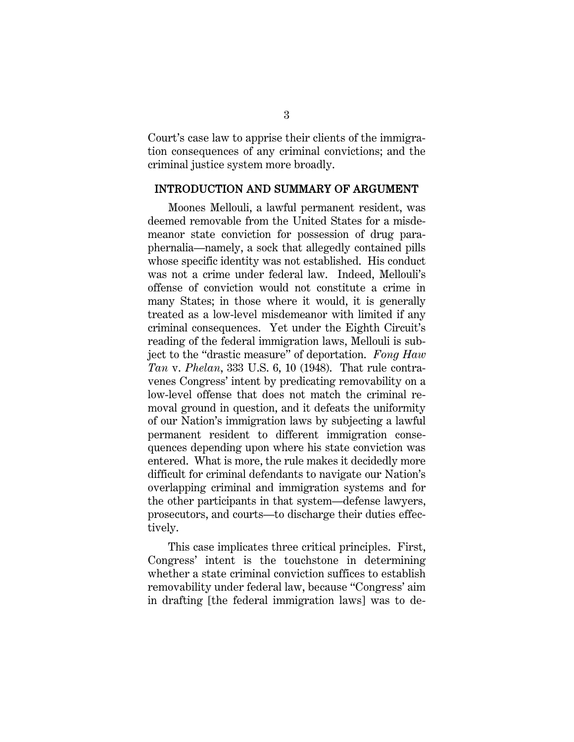Court's case law to apprise their clients of the immigration consequences of any criminal convictions; and the criminal justice system more broadly.

#### INTRODUCTION AND SUMMARY OF ARGUMENT

Moones Mellouli, a lawful permanent resident, was deemed removable from the United States for a misdemeanor state conviction for possession of drug paraphernalia—namely, a sock that allegedly contained pills whose specific identity was not established. His conduct was not a crime under federal law. Indeed, Mellouli's offense of conviction would not constitute a crime in many States; in those where it would, it is generally treated as a low-level misdemeanor with limited if any criminal consequences. Yet under the Eighth Circuit's reading of the federal immigration laws, Mellouli is subject to the "drastic measure" of deportation. *Fong Haw Tan* v. *Phelan*, 333 U.S. 6, 10 (1948). That rule contravenes Congress' intent by predicating removability on a low-level offense that does not match the criminal removal ground in question, and it defeats the uniformity of our Nation's immigration laws by subjecting a lawful permanent resident to different immigration consequences depending upon where his state conviction was entered. What is more, the rule makes it decidedly more difficult for criminal defendants to navigate our Nation's overlapping criminal and immigration systems and for the other participants in that system—defense lawyers, prosecutors, and courts—to discharge their duties effectively.

This case implicates three critical principles. First, Congress' intent is the touchstone in determining whether a state criminal conviction suffices to establish removability under federal law, because "Congress' aim in drafting [the federal immigration laws] was to de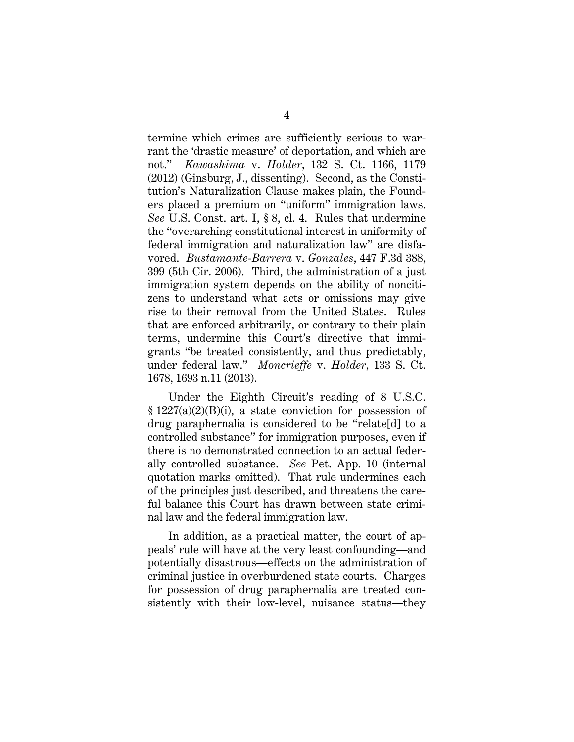termine which crimes are sufficiently serious to warrant the 'drastic measure' of deportation, and which are not." *Kawashima* v. *Holder*, 132 S. Ct. 1166, 1179 (2012) (Ginsburg, J., dissenting). Second, as the Constitution's Naturalization Clause makes plain, the Founders placed a premium on "uniform" immigration laws. *See* U.S. Const. art. I, § 8, cl. 4. Rules that undermine the "overarching constitutional interest in uniformity of federal immigration and naturalization law" are disfavored. *Bustamante-Barrera* v. *Gonzales*, 447 F.3d 388, 399 (5th Cir. 2006). Third, the administration of a just immigration system depends on the ability of noncitizens to understand what acts or omissions may give rise to their removal from the United States. Rules that are enforced arbitrarily, or contrary to their plain terms, undermine this Court's directive that immigrants "be treated consistently, and thus predictably, under federal law." *Moncrieffe* v. *Holder*, 133 S. Ct. 1678, 1693 n.11 (2013).

Under the Eighth Circuit's reading of 8 U.S.C.  $§ 1227(a)(2)(B)(i)$ , a state conviction for possession of drug paraphernalia is considered to be "relate[d] to a controlled substance" for immigration purposes, even if there is no demonstrated connection to an actual federally controlled substance. *See* Pet. App. 10 (internal quotation marks omitted). That rule undermines each of the principles just described, and threatens the careful balance this Court has drawn between state criminal law and the federal immigration law.

In addition, as a practical matter, the court of appeals' rule will have at the very least confounding—and potentially disastrous—effects on the administration of criminal justice in overburdened state courts. Charges for possession of drug paraphernalia are treated consistently with their low-level, nuisance status—they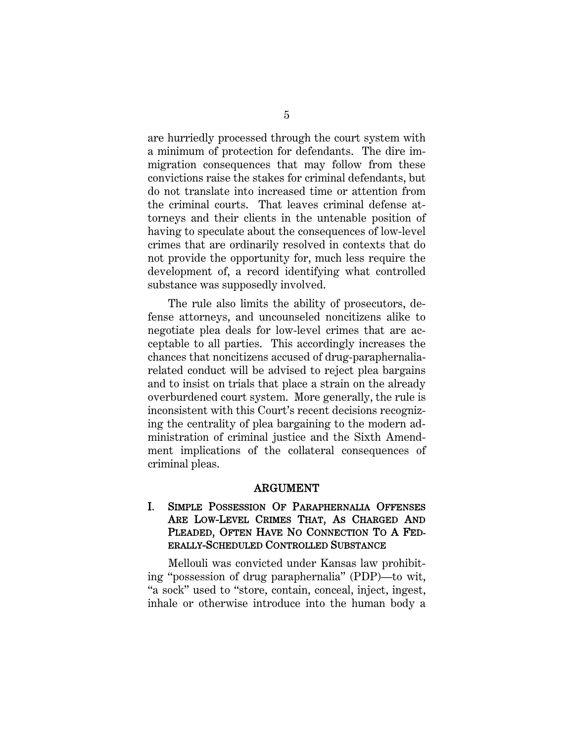are hurriedly processed through the court system with a minimum of protection for defendants. The dire immigration consequences that may follow from these convictions raise the stakes for criminal defendants, but do not translate into increased time or attention from the criminal courts. That leaves criminal defense attorneys and their clients in the untenable position of having to speculate about the consequences of low-level crimes that are ordinarily resolved in contexts that do not provide the opportunity for, much less require the development of, a record identifying what controlled substance was supposedly involved.

The rule also limits the ability of prosecutors, defense attorneys, and uncounseled noncitizens alike to negotiate plea deals for low-level crimes that are acceptable to all parties. This accordingly increases the chances that noncitizens accused of drug-paraphernaliarelated conduct will be advised to reject plea bargains and to insist on trials that place a strain on the already overburdened court system. More generally, the rule is inconsistent with this Court's recent decisions recognizing the centrality of plea bargaining to the modern administration of criminal justice and the Sixth Amendment implications of the collateral consequences of criminal pleas.

#### ARGUMENT

#### I. SIMPLE POSSESSION OF PARAPHERNALIA OFFENSES ARE LOW-LEVEL CRIMES THAT, AS CHARGED AND PLEADED, OFTEN HAVE NO CONNECTION TO A FED-ERALLY-SCHEDULED CONTROLLED SUBSTANCE

Mellouli was convicted under Kansas law prohibiting "possession of drug paraphernalia" (PDP)—to wit, "a sock" used to "store, contain, conceal, inject, ingest, inhale or otherwise introduce into the human body a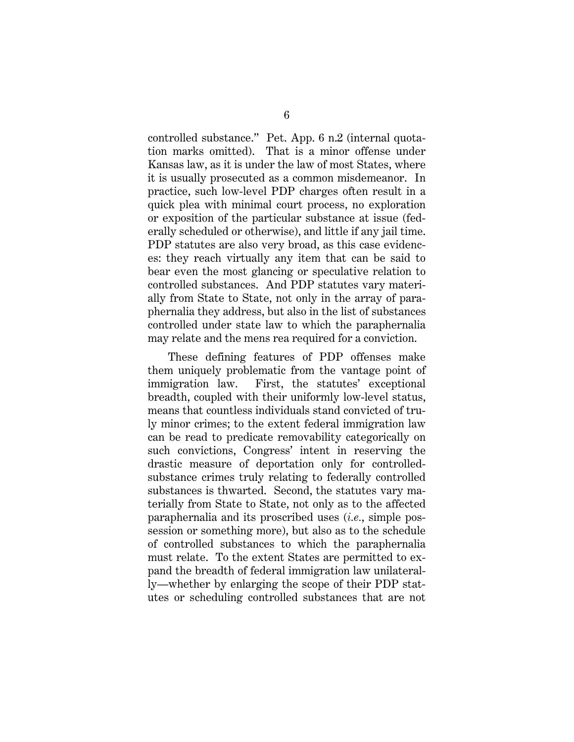controlled substance." Pet. App. 6 n.2 (internal quotation marks omitted). That is a minor offense under Kansas law, as it is under the law of most States, where it is usually prosecuted as a common misdemeanor. In practice, such low-level PDP charges often result in a quick plea with minimal court process, no exploration or exposition of the particular substance at issue (federally scheduled or otherwise), and little if any jail time. PDP statutes are also very broad, as this case evidences: they reach virtually any item that can be said to bear even the most glancing or speculative relation to controlled substances. And PDP statutes vary materially from State to State, not only in the array of paraphernalia they address, but also in the list of substances controlled under state law to which the paraphernalia may relate and the mens rea required for a conviction.

These defining features of PDP offenses make them uniquely problematic from the vantage point of immigration law. First, the statutes' exceptional breadth, coupled with their uniformly low-level status, means that countless individuals stand convicted of truly minor crimes; to the extent federal immigration law can be read to predicate removability categorically on such convictions, Congress' intent in reserving the drastic measure of deportation only for controlledsubstance crimes truly relating to federally controlled substances is thwarted. Second, the statutes vary materially from State to State, not only as to the affected paraphernalia and its proscribed uses (*i.e.*, simple possession or something more), but also as to the schedule of controlled substances to which the paraphernalia must relate. To the extent States are permitted to expand the breadth of federal immigration law unilaterally—whether by enlarging the scope of their PDP statutes or scheduling controlled substances that are not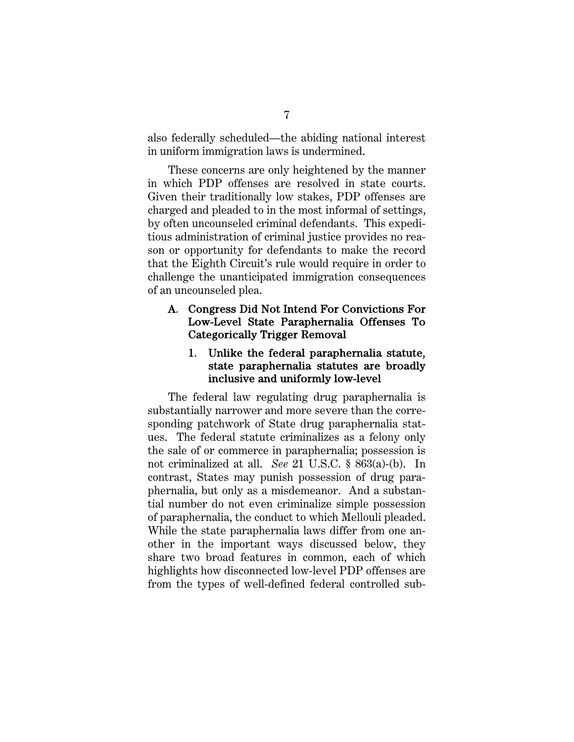also federally scheduled—the abiding national interest in uniform immigration laws is undermined.

These concerns are only heightened by the manner in which PDP offenses are resolved in state courts. Given their traditionally low stakes, PDP offenses are charged and pleaded to in the most informal of settings, by often uncounseled criminal defendants. This expeditious administration of criminal justice provides no reason or opportunity for defendants to make the record that the Eighth Circuit's rule would require in order to challenge the unanticipated immigration consequences of an uncounseled plea.

### A. Congress Did Not Intend For Convictions For Low-Level State Paraphernalia Offenses To Categorically Trigger Removal

#### 1. Unlike the federal paraphernalia statute, state paraphernalia statutes are broadly inclusive and uniformly low-level

The federal law regulating drug paraphernalia is substantially narrower and more severe than the corresponding patchwork of State drug paraphernalia statues. The federal statute criminalizes as a felony only the sale of or commerce in paraphernalia; possession is not criminalized at all. *See* 21 U.S.C. § 863(a)-(b). In contrast, States may punish possession of drug paraphernalia, but only as a misdemeanor. And a substantial number do not even criminalize simple possession of paraphernalia, the conduct to which Mellouli pleaded. While the state paraphernalia laws differ from one another in the important ways discussed below, they share two broad features in common, each of which highlights how disconnected low-level PDP offenses are from the types of well-defined federal controlled sub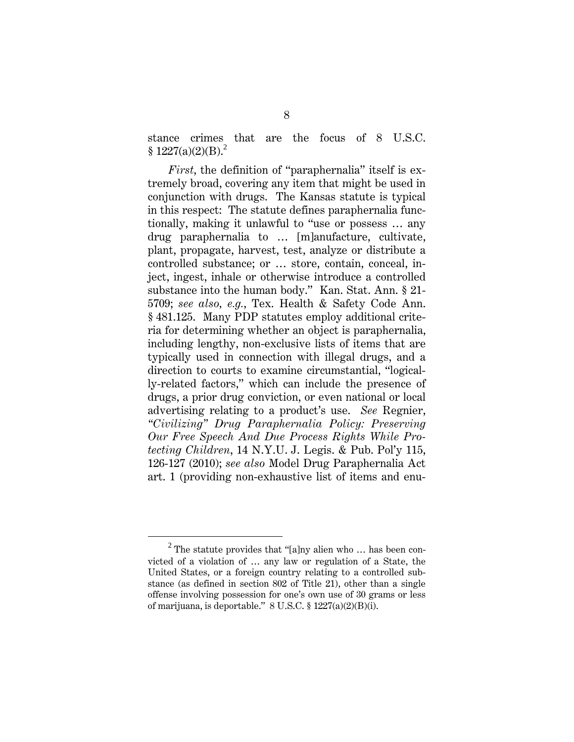stance crimes that are the focus of 8 U.S.C.  $$ 1227(a)(2)(B).<sup>2</sup>$ 

*First*, the definition of "paraphernalia" itself is extremely broad, covering any item that might be used in conjunction with drugs. The Kansas statute is typical in this respect: The statute defines paraphernalia functionally, making it unlawful to "use or possess … any drug paraphernalia to … [m]anufacture, cultivate, plant, propagate, harvest, test, analyze or distribute a controlled substance; or … store, contain, conceal, inject, ingest, inhale or otherwise introduce a controlled substance into the human body." Kan. Stat. Ann. § 21- 5709; *see also, e.g.*, Tex. Health & Safety Code Ann. § 481.125. Many PDP statutes employ additional criteria for determining whether an object is paraphernalia, including lengthy, non-exclusive lists of items that are typically used in connection with illegal drugs, and a direction to courts to examine circumstantial, "logically-related factors," which can include the presence of drugs, a prior drug conviction, or even national or local advertising relating to a product's use. *See* Regnier, *"Civilizing" Drug Paraphernalia Policy: Preserving Our Free Speech And Due Process Rights While Protecting Children*, 14 N.Y.U. J. Legis. & Pub. Pol'y 115, 126-127 (2010); *see also* Model Drug Paraphernalia Act art. 1 (providing non-exhaustive list of items and enu-

<sup>2</sup>  $2$  The statute provides that "[a]ny alien who ... has been convicted of a violation of … any law or regulation of a State, the United States, or a foreign country relating to a controlled substance (as defined in section 802 of Title 21), other than a single offense involving possession for one's own use of 30 grams or less of marijuana, is deportable."  $8 \text{ U.S.C.} \$   $1227(a)(2)(B)(i)$ .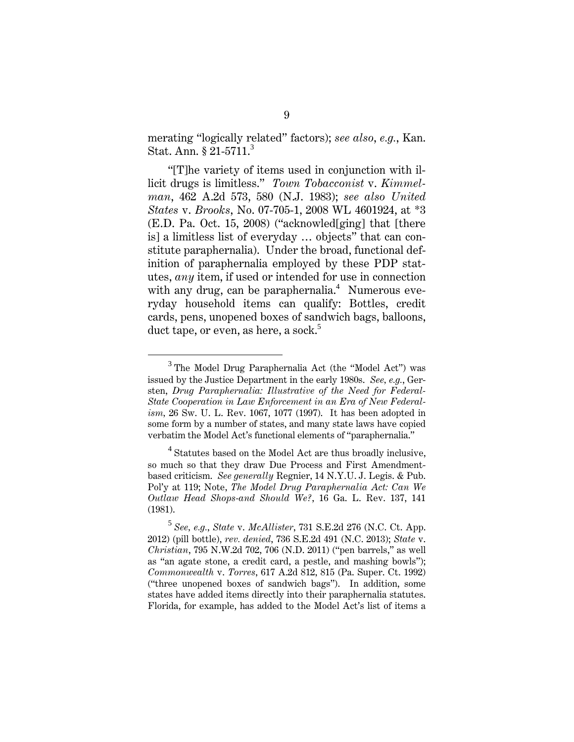merating "logically related" factors); *see also*, *e.g.*, Kan. Stat. Ann. § 21-5711.<sup>3</sup>

"[T]he variety of items used in conjunction with illicit drugs is limitless." *Town Tobacconist* v. *Kimmelman*, 462 A.2d 573, 580 (N.J. 1983); *see also United States* v. *Brooks*, No. 07-705-1, 2008 WL 4601924, at \*3 (E.D. Pa. Oct. 15, 2008) ("acknowled[ging] that [there is] a limitless list of everyday … objects" that can constitute paraphernalia). Under the broad, functional definition of paraphernalia employed by these PDP statutes, *any* item, if used or intended for use in connection with any drug, can be paraphernalia.<sup>4</sup> Numerous everyday household items can qualify: Bottles, credit cards, pens, unopened boxes of sandwich bags, balloons, duct tape, or even, as here, a sock.<sup>5</sup>

 $\overline{\phantom{0}3}$  $3$  The Model Drug Paraphernalia Act (the "Model Act") was issued by the Justice Department in the early 1980s. *See, e.g.*, Gersten, *Drug Paraphernalia: Illustrative of the Need for Federal-State Cooperation in Law Enforcement in an Era of New Federalism,* 26 Sw. U. L. Rev. 1067, 1077 (1997). It has been adopted in some form by a number of states, and many state laws have copied verbatim the Model Act's functional elements of "paraphernalia."

<sup>&</sup>lt;sup>4</sup> Statutes based on the Model Act are thus broadly inclusive, so much so that they draw Due Process and First Amendmentbased criticism. *See generally* Regnier, 14 N.Y.U. J. Legis. & Pub. Pol'y at 119; Note, *The Model Drug Paraphernalia Act: Can We Outlaw Head Shops-and Should We?*, 16 Ga. L. Rev. 137, 141 (1981).

<sup>5</sup> *See, e.g.*, *State* v. *McAllister*, 731 S.E.2d 276 (N.C. Ct. App. 2012) (pill bottle), *rev. denied*, 736 S.E.2d 491 (N.C. 2013); *State* v. *Christian*, 795 N.W.2d 702, 706 (N.D. 2011) ("pen barrels," as well as "an agate stone, a credit card, a pestle, and mashing bowls"); *Commonwealth* v. *Torres*, 617 A.2d 812, 815 (Pa. Super. Ct. 1992) ("three unopened boxes of sandwich bags"). In addition, some states have added items directly into their paraphernalia statutes. Florida, for example, has added to the Model Act's list of items a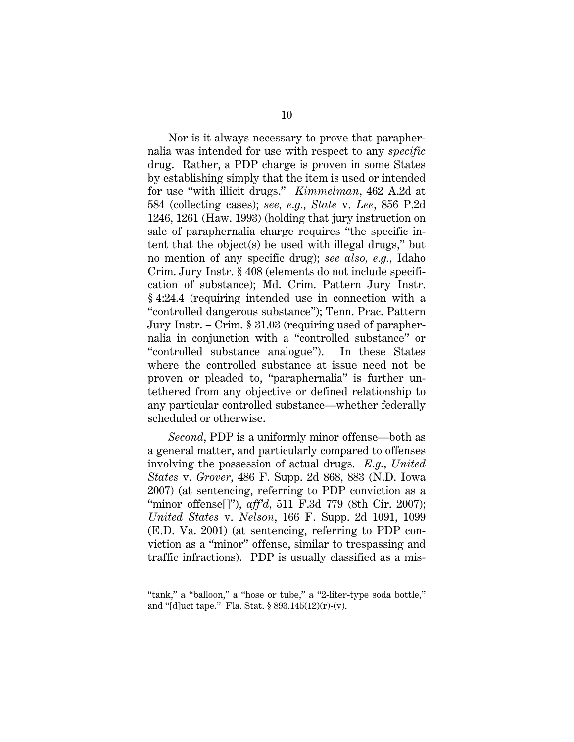Nor is it always necessary to prove that paraphernalia was intended for use with respect to any *specific* drug. Rather, a PDP charge is proven in some States by establishing simply that the item is used or intended for use "with illicit drugs." *Kimmelman*, 462 A.2d at 584 (collecting cases); *see, e.g.*, *State* v. *Lee*, 856 P.2d 1246, 1261 (Haw. 1993) (holding that jury instruction on sale of paraphernalia charge requires "the specific intent that the object(s) be used with illegal drugs," but no mention of any specific drug); *see also, e.g.*, Idaho Crim. Jury Instr. § 408 (elements do not include specification of substance); Md. Crim. Pattern Jury Instr. § 4:24.4 (requiring intended use in connection with a "controlled dangerous substance"); Tenn. Prac. Pattern Jury Instr. – Crim. § 31.03 (requiring used of paraphernalia in conjunction with a "controlled substance" or "controlled substance analogue"). In these States where the controlled substance at issue need not be proven or pleaded to, "paraphernalia" is further untethered from any objective or defined relationship to any particular controlled substance—whether federally scheduled or otherwise.

*Second*, PDP is a uniformly minor offense—both as a general matter, and particularly compared to offenses involving the possession of actual drugs. *E.g.*, *United States* v. *Grover*, 486 F. Supp. 2d 868, 883 (N.D. Iowa 2007) (at sentencing, referring to PDP conviction as a "minor offense[]"), *aff'd*, 511 F.3d 779 (8th Cir. 2007); *United States* v. *Nelson*, 166 F. Supp. 2d 1091, 1099 (E.D. Va. 2001) (at sentencing, referring to PDP conviction as a "minor" offense, similar to trespassing and traffic infractions). PDP is usually classified as a mis-

 $\overline{a}$ 

<sup>&</sup>quot;tank," a "balloon," a "hose or tube," a "2-liter-type soda bottle," and "[d]uct tape." Fla. Stat. § 893.145(12)(r)-(v).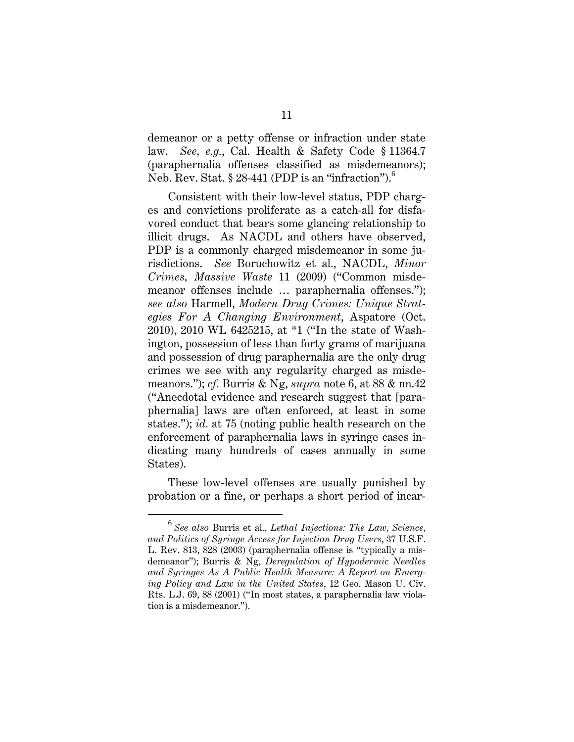demeanor or a petty offense or infraction under state law. *See, e.g.*, Cal. Health & Safety Code § 11364.7 (paraphernalia offenses classified as misdemeanors); Neb. Rev. Stat. § 28-441 (PDP is an "infraction").<sup>6</sup>

Consistent with their low-level status, PDP charges and convictions proliferate as a catch-all for disfavored conduct that bears some glancing relationship to illicit drugs. As NACDL and others have observed, PDP is a commonly charged misdemeanor in some jurisdictions. *See* Boruchowitz et al., NACDL, *Minor Crimes, Massive Waste* 11 (2009) ("Common misdemeanor offenses include … paraphernalia offenses."); *see also* Harmell, *Modern Drug Crimes: Unique Strategies For A Changing Environment*, Aspatore (Oct. 2010), 2010 WL 6425215, at \*1 ("In the state of Washington, possession of less than forty grams of marijuana and possession of drug paraphernalia are the only drug crimes we see with any regularity charged as misdemeanors."); *cf.* Burris & Ng, *supra* note 6, at 88 & nn.42 ("Anecdotal evidence and research suggest that [paraphernalia] laws are often enforced, at least in some states."); *id.* at 75 (noting public health research on the enforcement of paraphernalia laws in syringe cases indicating many hundreds of cases annually in some States).

These low-level offenses are usually punished by probation or a fine, or perhaps a short period of incar-

<sup>6</sup> *See also* Burris et al., *Lethal Injections: The Law, Science, and Politics of Syringe Access for Injection Drug Users*, 37 U.S.F. L. Rev. 813, 828 (2003) (paraphernalia offense is "typically a misdemeanor"); Burris & Ng, *Deregulation of Hypodermic Needles and Syringes As A Public Health Measure: A Report on Emerging Policy and Law in the United States*, 12 Geo. Mason U. Civ. Rts. L.J. 69, 88 (2001) ("In most states, a paraphernalia law violation is a misdemeanor.").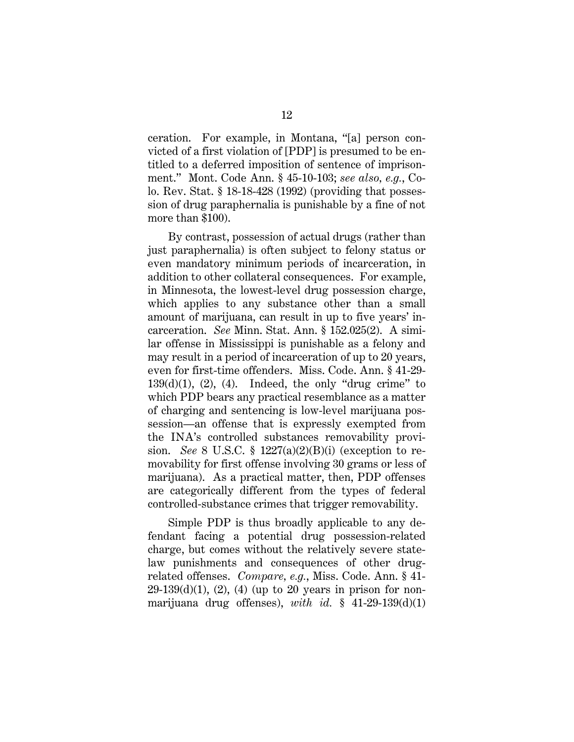ceration. For example, in Montana, "[a] person convicted of a first violation of [PDP] is presumed to be entitled to a deferred imposition of sentence of imprisonment." Mont. Code Ann. § 45-10-103; *see also, e.g.*, Colo. Rev. Stat. § 18-18-428 (1992) (providing that possession of drug paraphernalia is punishable by a fine of not more than \$100).

By contrast, possession of actual drugs (rather than just paraphernalia) is often subject to felony status or even mandatory minimum periods of incarceration, in addition to other collateral consequences. For example, in Minnesota, the lowest-level drug possession charge, which applies to any substance other than a small amount of marijuana, can result in up to five years' incarceration. *See* Minn. Stat. Ann. § 152.025(2). A similar offense in Mississippi is punishable as a felony and may result in a period of incarceration of up to 20 years, even for first-time offenders. Miss. Code. Ann. § 41-29-  $139(d)(1)$ ,  $(2)$ ,  $(4)$ . Indeed, the only "drug crime" to which PDP bears any practical resemblance as a matter of charging and sentencing is low-level marijuana possession—an offense that is expressly exempted from the INA's controlled substances removability provision. *See* 8 U.S.C. § 1227(a)(2)(B)(i) (exception to removability for first offense involving 30 grams or less of marijuana). As a practical matter, then, PDP offenses are categorically different from the types of federal controlled-substance crimes that trigger removability.

Simple PDP is thus broadly applicable to any defendant facing a potential drug possession-related charge, but comes without the relatively severe statelaw punishments and consequences of other drugrelated offenses. *Compare, e.g.*, Miss. Code. Ann. § 41-  $29-139(d)(1)$ ,  $(2)$ ,  $(4)$  (up to 20 years in prison for nonmarijuana drug offenses), *with id.* § 41-29-139(d)(1)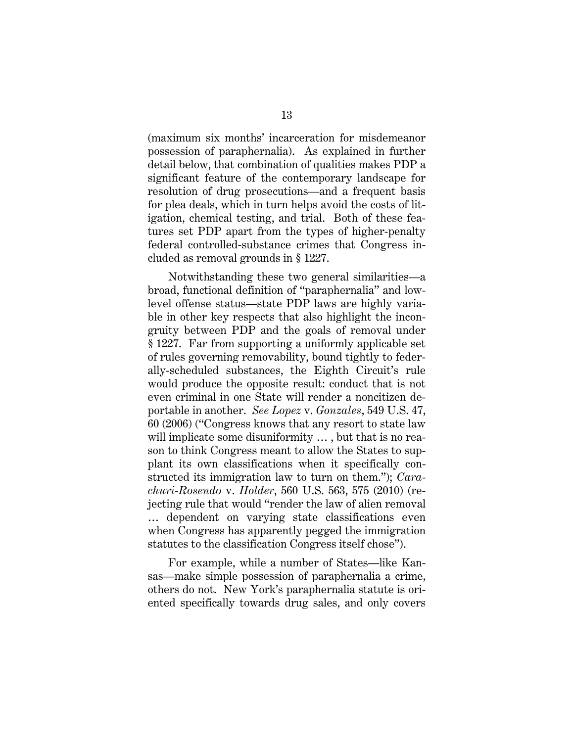(maximum six months' incarceration for misdemeanor possession of paraphernalia). As explained in further detail below, that combination of qualities makes PDP a significant feature of the contemporary landscape for resolution of drug prosecutions—and a frequent basis for plea deals, which in turn helps avoid the costs of litigation, chemical testing, and trial. Both of these features set PDP apart from the types of higher-penalty federal controlled-substance crimes that Congress included as removal grounds in § 1227.

Notwithstanding these two general similarities—a broad, functional definition of "paraphernalia" and lowlevel offense status—state PDP laws are highly variable in other key respects that also highlight the incongruity between PDP and the goals of removal under § 1227. Far from supporting a uniformly applicable set of rules governing removability, bound tightly to federally-scheduled substances, the Eighth Circuit's rule would produce the opposite result: conduct that is not even criminal in one State will render a noncitizen deportable in another. *See Lopez* v. *Gonzales*, 549 U.S. 47, 60 (2006) ("Congress knows that any resort to state law will implicate some disuniformity … , but that is no reason to think Congress meant to allow the States to supplant its own classifications when it specifically constructed its immigration law to turn on them."); *Carachuri-Rosendo* v. *Holder*, 560 U.S. 563, 575 (2010) (rejecting rule that would "render the law of alien removal … dependent on varying state classifications even when Congress has apparently pegged the immigration statutes to the classification Congress itself chose").

For example, while a number of States—like Kansas—make simple possession of paraphernalia a crime, others do not. New York's paraphernalia statute is oriented specifically towards drug sales, and only covers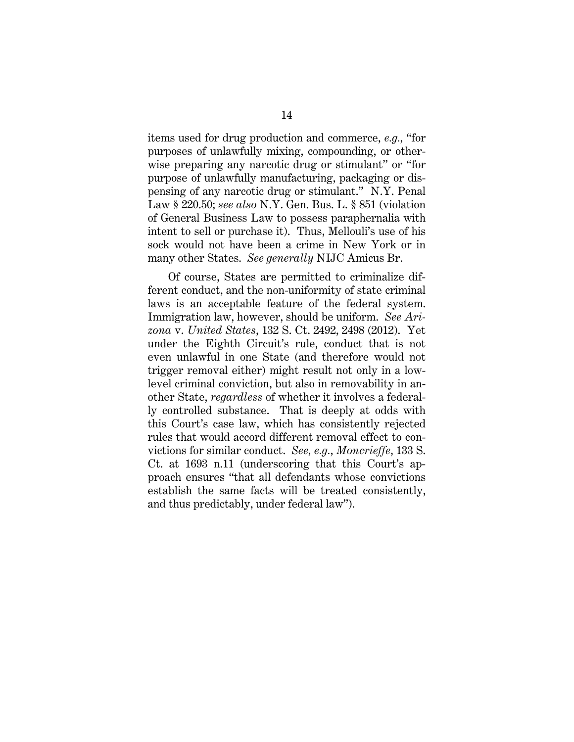items used for drug production and commerce, *e.g.,* "for purposes of unlawfully mixing, compounding, or otherwise preparing any narcotic drug or stimulant" or "for purpose of unlawfully manufacturing, packaging or dispensing of any narcotic drug or stimulant." N.Y. Penal Law § 220.50; *see also* N.Y. Gen. Bus. L. § 851 (violation of General Business Law to possess paraphernalia with intent to sell or purchase it). Thus, Mellouli's use of his sock would not have been a crime in New York or in many other States. *See generally* NIJC Amicus Br.

Of course, States are permitted to criminalize different conduct, and the non-uniformity of state criminal laws is an acceptable feature of the federal system. Immigration law, however, should be uniform. *See Arizona* v. *United States*, 132 S. Ct. 2492, 2498 (2012). Yet under the Eighth Circuit's rule, conduct that is not even unlawful in one State (and therefore would not trigger removal either) might result not only in a lowlevel criminal conviction, but also in removability in another State, *regardless* of whether it involves a federally controlled substance. That is deeply at odds with this Court's case law, which has consistently rejected rules that would accord different removal effect to convictions for similar conduct. *See, e.g.*, *Moncrieffe*, 133 S. Ct. at 1693 n.11 (underscoring that this Court's approach ensures "that all defendants whose convictions establish the same facts will be treated consistently, and thus predictably, under federal law").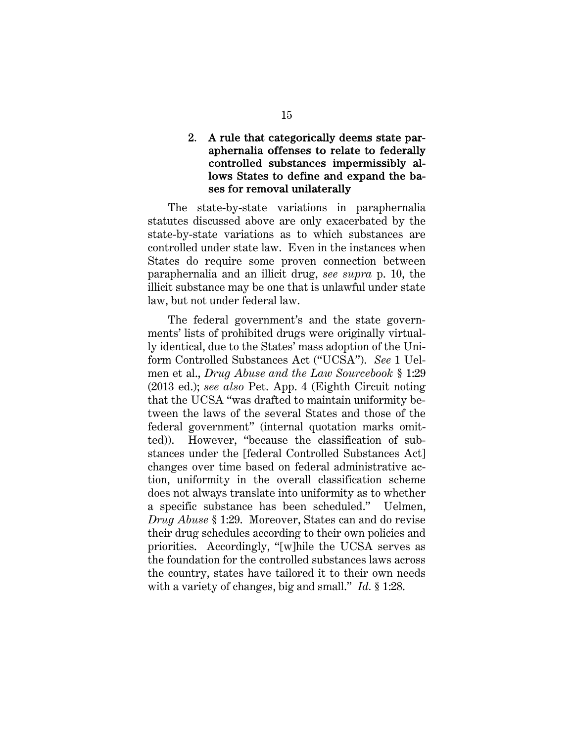#### 2. A rule that categorically deems state paraphernalia offenses to relate to federally controlled substances impermissibly allows States to define and expand the bases for removal unilaterally

The state-by-state variations in paraphernalia statutes discussed above are only exacerbated by the state-by-state variations as to which substances are controlled under state law. Even in the instances when States do require some proven connection between paraphernalia and an illicit drug, *see supra* p. 10, the illicit substance may be one that is unlawful under state law, but not under federal law.

The federal government's and the state governments' lists of prohibited drugs were originally virtually identical, due to the States' mass adoption of the Uniform Controlled Substances Act ("UCSA"). *See* 1 Uelmen et al., *Drug Abuse and the Law Sourcebook* § 1:29 (2013 ed.); *see also* Pet. App. 4 (Eighth Circuit noting that the UCSA "was drafted to maintain uniformity between the laws of the several States and those of the federal government" (internal quotation marks omitted)). However, "because the classification of substances under the [federal Controlled Substances Act] changes over time based on federal administrative action, uniformity in the overall classification scheme does not always translate into uniformity as to whether a specific substance has been scheduled." Uelmen, *Drug Abuse* § 1:29. Moreover, States can and do revise their drug schedules according to their own policies and priorities. Accordingly, "[w]hile the UCSA serves as the foundation for the controlled substances laws across the country, states have tailored it to their own needs with a variety of changes, big and small." *Id.* § 1:28.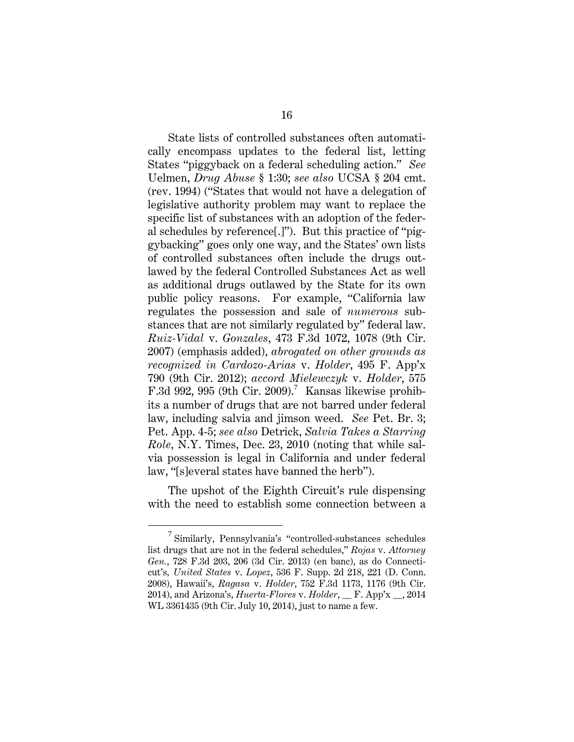State lists of controlled substances often automatically encompass updates to the federal list, letting States "piggyback on a federal scheduling action." *See*  Uelmen, *Drug Abuse* § 1:30; *see also* UCSA § 204 cmt. (rev. 1994) ("States that would not have a delegation of legislative authority problem may want to replace the specific list of substances with an adoption of the federal schedules by reference[.]"). But this practice of "piggybacking" goes only one way, and the States' own lists of controlled substances often include the drugs outlawed by the federal Controlled Substances Act as well as additional drugs outlawed by the State for its own public policy reasons. For example, "California law regulates the possession and sale of *numerous* substances that are not similarly regulated by" federal law. *Ruiz-Vidal* v. *Gonzales*, 473 F.3d 1072, 1078 (9th Cir. 2007) (emphasis added), *abrogated on other grounds as recognized in Cardozo-Arias* v. *Holder*, 495 F. App'x 790 (9th Cir. 2012); *accord Mielewczyk* v. *Holder*, 575 F.3d 992, 995 (9th Cir. 2009).<sup>7</sup> Kansas likewise prohibits a number of drugs that are not barred under federal law, including salvia and jimson weed. *See* Pet. Br. 3; Pet. App. 4-5; *see also* Detrick, *Salvia Takes a Starring Role*, N.Y. Times, Dec. 23, 2010 (noting that while salvia possession is legal in California and under federal law, "[s]everal states have banned the herb").

The upshot of the Eighth Circuit's rule dispensing with the need to establish some connection between a

 $\frac{1}{7}$  $\frac{7}{1}$  Similarly, Pennsylvania's "controlled-substances schedules" list drugs that are not in the federal schedules," *Rojas* v. *Attorney Gen.*, 728 F.3d 203, 206 (3d Cir. 2013) (en banc), as do Connecticut's*, United States* v. *Lopez*, 536 F. Supp. 2d 218, 221 (D. Conn. 2008), Hawaii's, *Ragasa* v. *Holder*, 752 F.3d 1173, 1176 (9th Cir. 2014), and Arizona's, *Huerta-Flores* v. *Holder*, \_\_ F. App'x \_\_, 2014 WL 3361435 (9th Cir. July 10, 2014), just to name a few.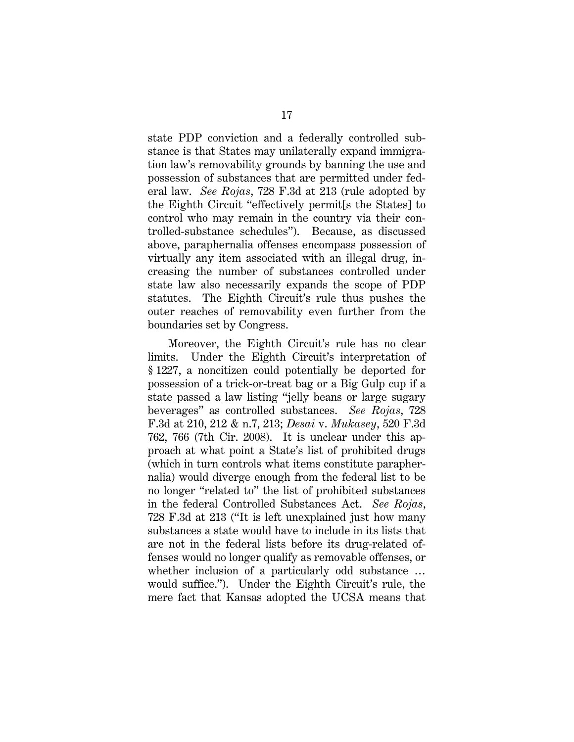state PDP conviction and a federally controlled substance is that States may unilaterally expand immigration law's removability grounds by banning the use and possession of substances that are permitted under federal law. *See Rojas*, 728 F.3d at 213 (rule adopted by the Eighth Circuit "effectively permit[s the States] to control who may remain in the country via their controlled-substance schedules"). Because, as discussed above, paraphernalia offenses encompass possession of virtually any item associated with an illegal drug, increasing the number of substances controlled under state law also necessarily expands the scope of PDP statutes. The Eighth Circuit's rule thus pushes the outer reaches of removability even further from the boundaries set by Congress.

Moreover, the Eighth Circuit's rule has no clear limits. Under the Eighth Circuit's interpretation of § 1227, a noncitizen could potentially be deported for possession of a trick-or-treat bag or a Big Gulp cup if a state passed a law listing "jelly beans or large sugary beverages" as controlled substances. *See Rojas*, 728 F.3d at 210, 212 & n.7, 213; *Desai* v. *Mukasey*, 520 F.3d 762, 766 (7th Cir. 2008). It is unclear under this approach at what point a State's list of prohibited drugs (which in turn controls what items constitute paraphernalia) would diverge enough from the federal list to be no longer "related to" the list of prohibited substances in the federal Controlled Substances Act. *See Rojas*, 728 F.3d at 213 ("It is left unexplained just how many substances a state would have to include in its lists that are not in the federal lists before its drug-related offenses would no longer qualify as removable offenses, or whether inclusion of a particularly odd substance ... would suffice."). Under the Eighth Circuit's rule, the mere fact that Kansas adopted the UCSA means that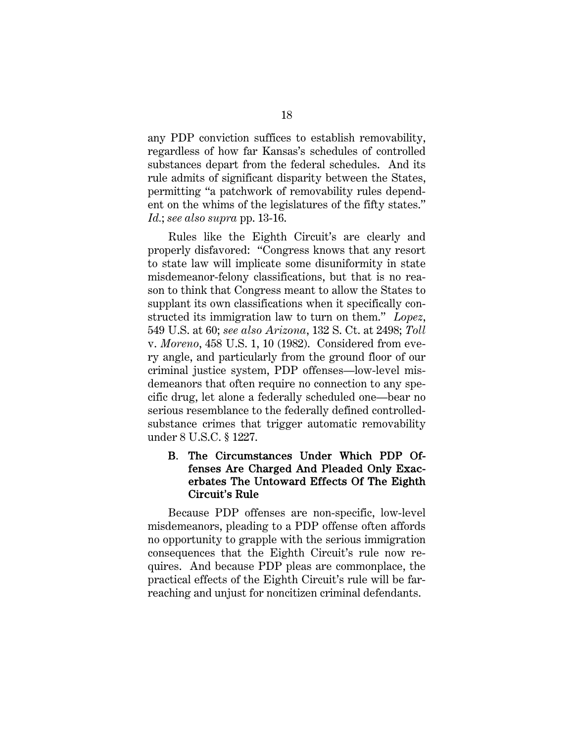any PDP conviction suffices to establish removability, regardless of how far Kansas's schedules of controlled substances depart from the federal schedules. And its rule admits of significant disparity between the States, permitting "a patchwork of removability rules dependent on the whims of the legislatures of the fifty states." *Id.*; *see also supra* pp. 13-16.

Rules like the Eighth Circuit's are clearly and properly disfavored: "Congress knows that any resort to state law will implicate some disuniformity in state misdemeanor-felony classifications, but that is no reason to think that Congress meant to allow the States to supplant its own classifications when it specifically constructed its immigration law to turn on them." *Lopez*, 549 U.S. at 60; *see also Arizona*, 132 S. Ct. at 2498; *Toll*  v. *Moreno*, 458 U.S. 1, 10 (1982). Considered from every angle, and particularly from the ground floor of our criminal justice system, PDP offenses—low-level misdemeanors that often require no connection to any specific drug, let alone a federally scheduled one—bear no serious resemblance to the federally defined controlledsubstance crimes that trigger automatic removability under 8 U.S.C. § 1227.

### B. The Circumstances Under Which PDP Offenses Are Charged And Pleaded Only Exacerbates The Untoward Effects Of The Eighth Circuit's Rule

Because PDP offenses are non-specific, low-level misdemeanors, pleading to a PDP offense often affords no opportunity to grapple with the serious immigration consequences that the Eighth Circuit's rule now requires. And because PDP pleas are commonplace, the practical effects of the Eighth Circuit's rule will be farreaching and unjust for noncitizen criminal defendants.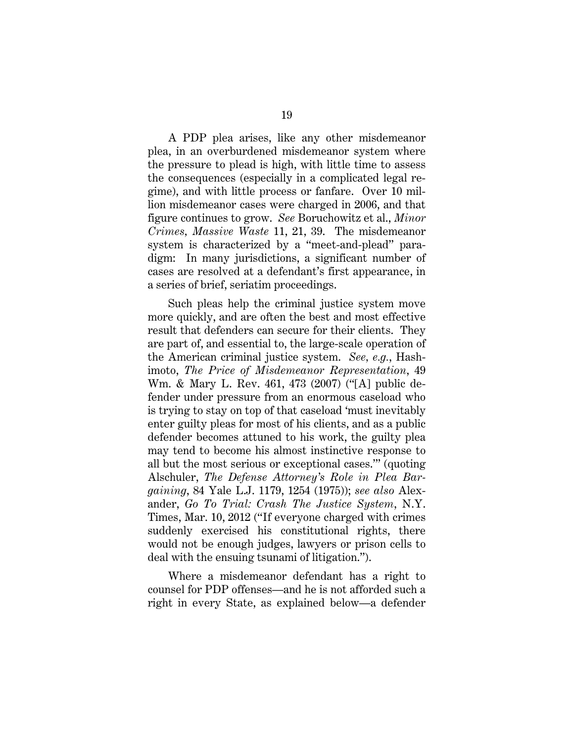A PDP plea arises, like any other misdemeanor plea, in an overburdened misdemeanor system where the pressure to plead is high, with little time to assess the consequences (especially in a complicated legal regime), and with little process or fanfare. Over 10 million misdemeanor cases were charged in 2006, and that figure continues to grow. *See* Boruchowitz et al., *Minor Crimes, Massive Waste* 11, 21, 39. The misdemeanor system is characterized by a "meet-and-plead" paradigm: In many jurisdictions, a significant number of cases are resolved at a defendant's first appearance, in a series of brief, seriatim proceedings.

Such pleas help the criminal justice system move more quickly, and are often the best and most effective result that defenders can secure for their clients. They are part of, and essential to, the large-scale operation of the American criminal justice system. *See, e.g.*, Hashimoto, *The Price of Misdemeanor Representation*, 49 Wm. & Mary L. Rev. 461, 473 (2007) ("[A] public defender under pressure from an enormous caseload who is trying to stay on top of that caseload 'must inevitably enter guilty pleas for most of his clients, and as a public defender becomes attuned to his work, the guilty plea may tend to become his almost instinctive response to all but the most serious or exceptional cases.'" (quoting Alschuler, *The Defense Attorney's Role in Plea Bargaining*, 84 Yale L.J. 1179, 1254 (1975)); *see also* Alexander, *Go To Trial: Crash The Justice System*, N.Y. Times, Mar. 10, 2012 ("If everyone charged with crimes suddenly exercised his constitutional rights, there would not be enough judges, lawyers or prison cells to deal with the ensuing tsunami of litigation.").

Where a misdemeanor defendant has a right to counsel for PDP offenses—and he is not afforded such a right in every State, as explained below—a defender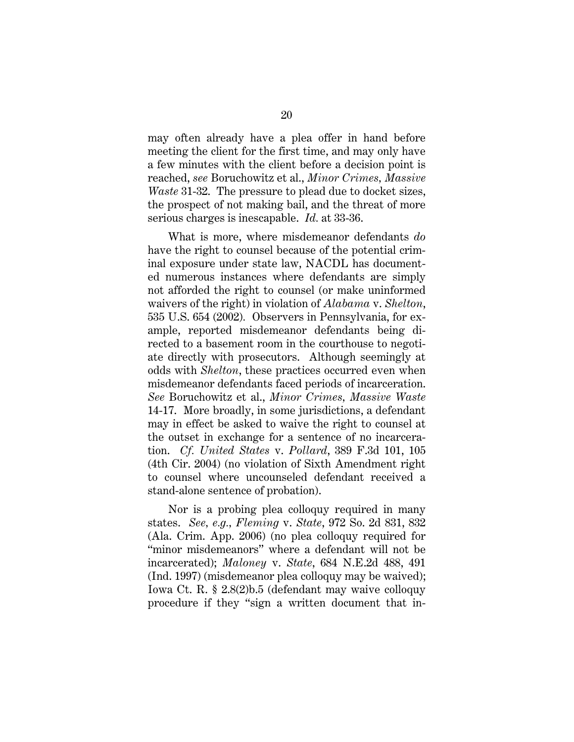may often already have a plea offer in hand before meeting the client for the first time, and may only have a few minutes with the client before a decision point is reached, *see* Boruchowitz et al., *Minor Crimes, Massive Waste* 31-32. The pressure to plead due to docket sizes, the prospect of not making bail, and the threat of more serious charges is inescapable. *Id.* at 33-36.

What is more, where misdemeanor defendants *do*  have the right to counsel because of the potential criminal exposure under state law, NACDL has documented numerous instances where defendants are simply not afforded the right to counsel (or make uninformed waivers of the right) in violation of *Alabama* v. *Shelton*, 535 U.S. 654 (2002)*.* Observers in Pennsylvania, for example, reported misdemeanor defendants being directed to a basement room in the courthouse to negotiate directly with prosecutors. Although seemingly at odds with *Shelton*, these practices occurred even when misdemeanor defendants faced periods of incarceration. *See* Boruchowitz et al., *Minor Crimes, Massive Waste* 14-17. More broadly, in some jurisdictions, a defendant may in effect be asked to waive the right to counsel at the outset in exchange for a sentence of no incarceration. *Cf. United States* v. *Pollard*, 389 F.3d 101, 105 (4th Cir. 2004) (no violation of Sixth Amendment right to counsel where uncounseled defendant received a stand-alone sentence of probation).

Nor is a probing plea colloquy required in many states. *See, e.g., Fleming* v. *State*, 972 So. 2d 831, 832 (Ala. Crim. App. 2006) (no plea colloquy required for "minor misdemeanors" where a defendant will not be incarcerated); *Maloney* v. *State*, 684 N.E.2d 488, 491 (Ind. 1997) (misdemeanor plea colloquy may be waived); Iowa Ct. R. § 2.8(2)b.5 (defendant may waive colloquy procedure if they "sign a written document that in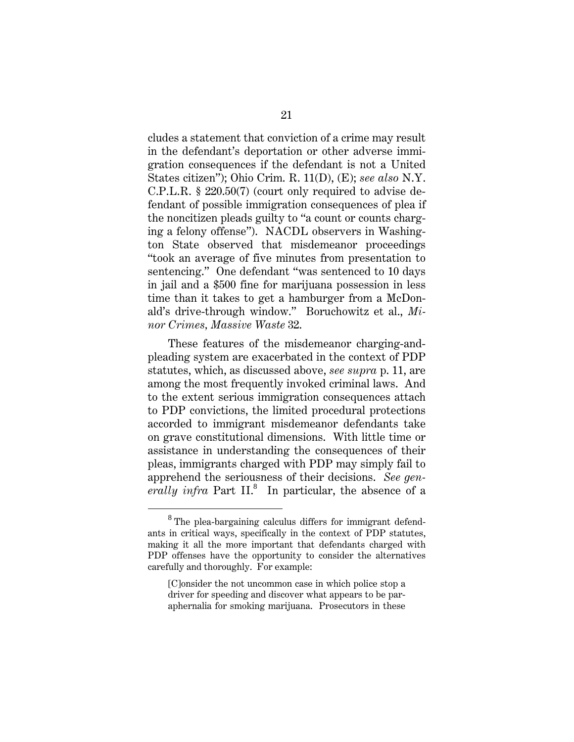cludes a statement that conviction of a crime may result in the defendant's deportation or other adverse immigration consequences if the defendant is not a United States citizen"); Ohio Crim. R. 11(D), (E); *see also* N.Y. C.P.L.R. § 220.50(7) (court only required to advise defendant of possible immigration consequences of plea if the noncitizen pleads guilty to "a count or counts charging a felony offense"). NACDL observers in Washington State observed that misdemeanor proceedings "took an average of five minutes from presentation to sentencing." One defendant "was sentenced to 10 days in jail and a \$500 fine for marijuana possession in less time than it takes to get a hamburger from a McDonald's drive-through window." Boruchowitz et al., *Minor Crimes, Massive Waste* 32.

These features of the misdemeanor charging-andpleading system are exacerbated in the context of PDP statutes, which, as discussed above, *see supra* p. 11, are among the most frequently invoked criminal laws. And to the extent serious immigration consequences attach to PDP convictions, the limited procedural protections accorded to immigrant misdemeanor defendants take on grave constitutional dimensions. With little time or assistance in understanding the consequences of their pleas, immigrants charged with PDP may simply fail to apprehend the seriousness of their decisions. *See gen*erally infra Part II.<sup>8</sup> In particular, the absence of a

<sup>8</sup> <sup>8</sup> The plea-bargaining calculus differs for immigrant defendants in critical ways, specifically in the context of PDP statutes, making it all the more important that defendants charged with PDP offenses have the opportunity to consider the alternatives carefully and thoroughly. For example:

<sup>[</sup>C]onsider the not uncommon case in which police stop a driver for speeding and discover what appears to be paraphernalia for smoking marijuana. Prosecutors in these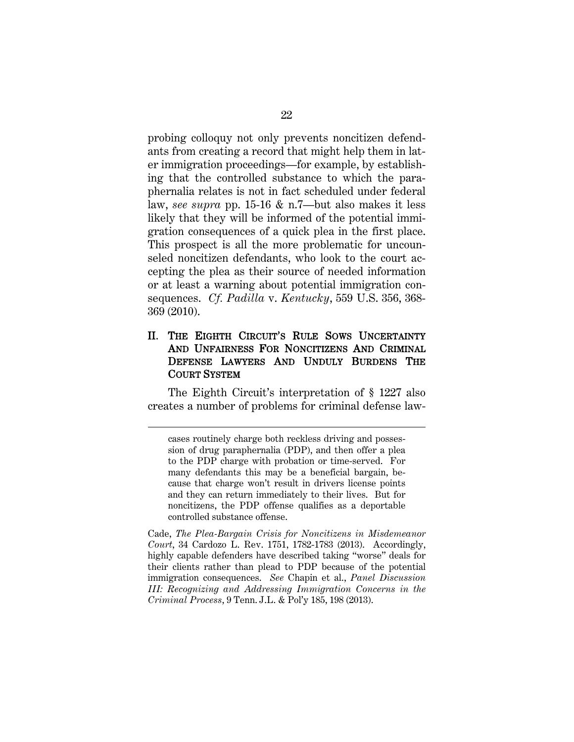probing colloquy not only prevents noncitizen defendants from creating a record that might help them in later immigration proceedings—for example, by establishing that the controlled substance to which the paraphernalia relates is not in fact scheduled under federal law, *see supra* pp. 15-16 & n.7—but also makes it less likely that they will be informed of the potential immigration consequences of a quick plea in the first place. This prospect is all the more problematic for uncounseled noncitizen defendants, who look to the court accepting the plea as their source of needed information or at least a warning about potential immigration consequences. *Cf. Padilla* v. *Kentucky*, 559 U.S. 356, 368- 369 (2010).

#### II. THE EIGHTH CIRCUIT'S RULE SOWS UNCERTAINTY AND UNFAIRNESS FOR NONCITIZENS AND CRIMINAL DEFENSE LAWYERS AND UNDULY BURDENS THE COURT SYSTEM

The Eighth Circuit's interpretation of § 1227 also creates a number of problems for criminal defense law-

 $\overline{a}$ 

cases routinely charge both reckless driving and possession of drug paraphernalia (PDP), and then offer a plea to the PDP charge with probation or time-served. For many defendants this may be a beneficial bargain, because that charge won't result in drivers license points and they can return immediately to their lives. But for noncitizens, the PDP offense qualifies as a deportable controlled substance offense.

Cade, *The Plea-Bargain Crisis for Noncitizens in Misdemeanor Court*, 34 Cardozo L. Rev. 1751, 1782-1783 (2013). Accordingly, highly capable defenders have described taking "worse" deals for their clients rather than plead to PDP because of the potential immigration consequences. *See* Chapin et al., *Panel Discussion III: Recognizing and Addressing Immigration Concerns in the Criminal Process*, 9 Tenn. J.L. & Pol'y 185, 198 (2013).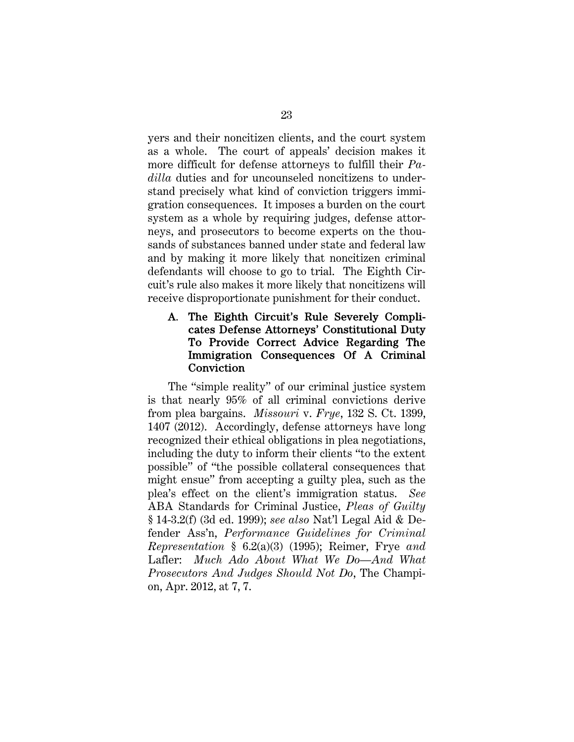yers and their noncitizen clients, and the court system as a whole. The court of appeals' decision makes it more difficult for defense attorneys to fulfill their *Padilla* duties and for uncounseled noncitizens to understand precisely what kind of conviction triggers immigration consequences. It imposes a burden on the court system as a whole by requiring judges, defense attorneys, and prosecutors to become experts on the thousands of substances banned under state and federal law and by making it more likely that noncitizen criminal defendants will choose to go to trial. The Eighth Circuit's rule also makes it more likely that noncitizens will receive disproportionate punishment for their conduct.

### A. The Eighth Circuit's Rule Severely Complicates Defense Attorneys' Constitutional Duty To Provide Correct Advice Regarding The Immigration Consequences Of A Criminal Conviction

The "simple reality" of our criminal justice system is that nearly 95% of all criminal convictions derive from plea bargains. *Missouri* v. *Frye*, 132 S. Ct. 1399, 1407 (2012). Accordingly, defense attorneys have long recognized their ethical obligations in plea negotiations, including the duty to inform their clients "to the extent possible" of "the possible collateral consequences that might ensue" from accepting a guilty plea, such as the plea's effect on the client's immigration status. *See*  ABA Standards for Criminal Justice, *Pleas of Guilty* § 14-3.2(f) (3d ed. 1999); *see also* Nat'l Legal Aid & Defender Ass'n, *Performance Guidelines for Criminal Representation* § 6.2(a)(3) (1995); Reimer, Frye *and* Lafler: *Much Ado About What We Do—And What Prosecutors And Judges Should Not Do*, The Champion, Apr. 2012, at 7, 7.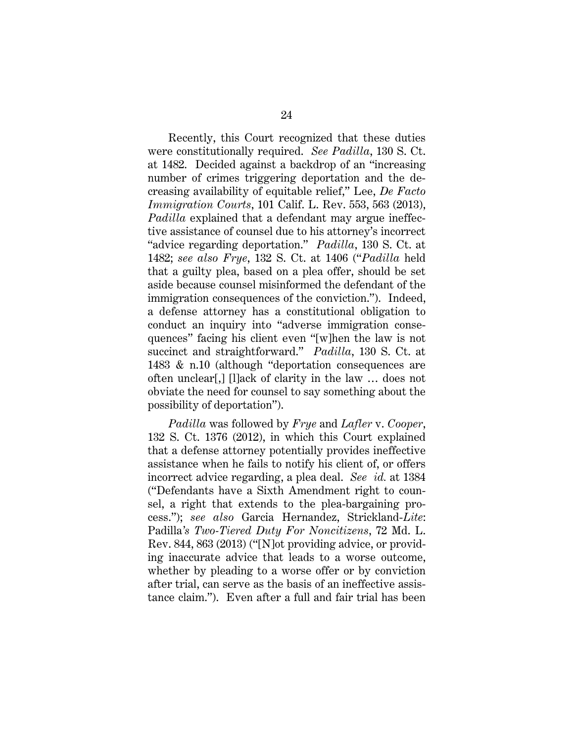Recently, this Court recognized that these duties were constitutionally required. *See Padilla*, 130 S. Ct. at 1482. Decided against a backdrop of an "increasing number of crimes triggering deportation and the decreasing availability of equitable relief," Lee, *De Facto Immigration Courts*, 101 Calif. L. Rev. 553, 563 (2013), *Padilla* explained that a defendant may argue ineffective assistance of counsel due to his attorney's incorrect "advice regarding deportation." *Padilla*, 130 S. Ct. at 1482; *see also Frye*, 132 S. Ct. at 1406 ("*Padilla* held that a guilty plea, based on a plea offer, should be set aside because counsel misinformed the defendant of the immigration consequences of the conviction."). Indeed, a defense attorney has a constitutional obligation to conduct an inquiry into "adverse immigration consequences" facing his client even "[w]hen the law is not succinct and straightforward." *Padilla*, 130 S. Ct. at 1483 & n.10 (although "deportation consequences are often unclear[,] [l]ack of clarity in the law … does not obviate the need for counsel to say something about the possibility of deportation").

*Padilla* was followed by *Frye* and *Lafler* v. *Cooper*, 132 S. Ct. 1376 (2012), in which this Court explained that a defense attorney potentially provides ineffective assistance when he fails to notify his client of, or offers incorrect advice regarding, a plea deal. *See id.* at 1384 ("Defendants have a Sixth Amendment right to counsel, a right that extends to the plea-bargaining process."); *see also* Garcia Hernandez, Strickland-*Lite*: Padilla*'s Two-Tiered Duty For Noncitizens*, 72 Md. L. Rev. 844, 863 (2013) ("[N]ot providing advice, or providing inaccurate advice that leads to a worse outcome, whether by pleading to a worse offer or by conviction after trial, can serve as the basis of an ineffective assistance claim."). Even after a full and fair trial has been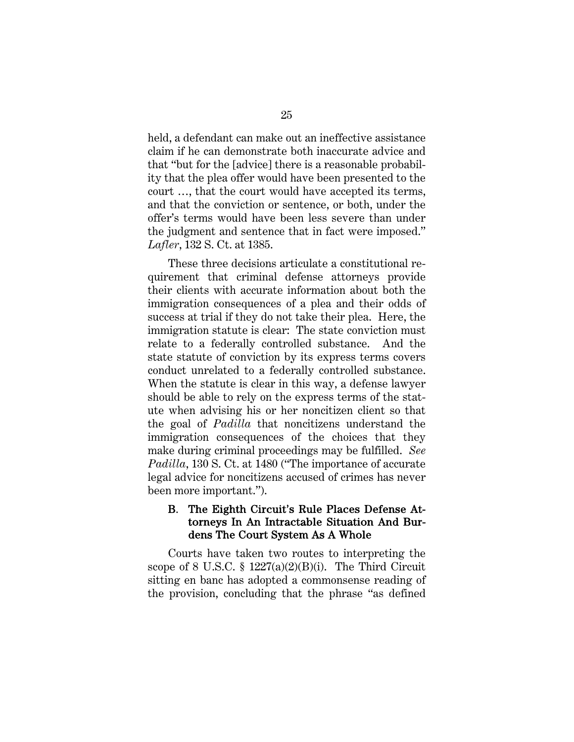held, a defendant can make out an ineffective assistance claim if he can demonstrate both inaccurate advice and that "but for the [advice] there is a reasonable probability that the plea offer would have been presented to the court …, that the court would have accepted its terms, and that the conviction or sentence, or both, under the offer's terms would have been less severe than under the judgment and sentence that in fact were imposed." *Lafler*, 132 S. Ct. at 1385.

These three decisions articulate a constitutional requirement that criminal defense attorneys provide their clients with accurate information about both the immigration consequences of a plea and their odds of success at trial if they do not take their plea. Here, the immigration statute is clear: The state conviction must relate to a federally controlled substance. And the state statute of conviction by its express terms covers conduct unrelated to a federally controlled substance. When the statute is clear in this way, a defense lawyer should be able to rely on the express terms of the statute when advising his or her noncitizen client so that the goal of *Padilla* that noncitizens understand the immigration consequences of the choices that they make during criminal proceedings may be fulfilled. *See Padilla*, 130 S. Ct. at 1480 ("The importance of accurate legal advice for noncitizens accused of crimes has never been more important.").

### B. The Eighth Circuit's Rule Places Defense Attorneys In An Intractable Situation And Burdens The Court System As A Whole

Courts have taken two routes to interpreting the scope of 8 U.S.C.  $\S$  1227(a)(2)(B)(i). The Third Circuit sitting en banc has adopted a commonsense reading of the provision, concluding that the phrase "as defined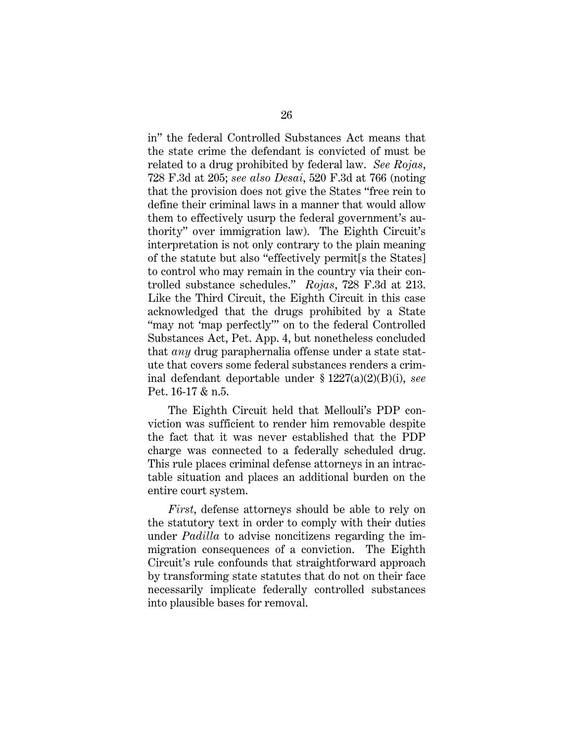in" the federal Controlled Substances Act means that the state crime the defendant is convicted of must be related to a drug prohibited by federal law. *See Rojas*, 728 F.3d at 205; *see also Desai*, 520 F.3d at 766 (noting that the provision does not give the States "free rein to define their criminal laws in a manner that would allow them to effectively usurp the federal government's authority" over immigration law). The Eighth Circuit's interpretation is not only contrary to the plain meaning of the statute but also "effectively permit[s the States] to control who may remain in the country via their controlled substance schedules." *Rojas*, 728 F.3d at 213. Like the Third Circuit, the Eighth Circuit in this case acknowledged that the drugs prohibited by a State "may not 'map perfectly'" on to the federal Controlled Substances Act, Pet. App. 4, but nonetheless concluded that *any* drug paraphernalia offense under a state statute that covers some federal substances renders a criminal defendant deportable under § 1227(a)(2)(B)(i), *see*  Pet. 16-17 & n.5.

The Eighth Circuit held that Mellouli's PDP conviction was sufficient to render him removable despite the fact that it was never established that the PDP charge was connected to a federally scheduled drug. This rule places criminal defense attorneys in an intractable situation and places an additional burden on the entire court system.

*First*, defense attorneys should be able to rely on the statutory text in order to comply with their duties under *Padilla* to advise noncitizens regarding the immigration consequences of a conviction. The Eighth Circuit's rule confounds that straightforward approach by transforming state statutes that do not on their face necessarily implicate federally controlled substances into plausible bases for removal.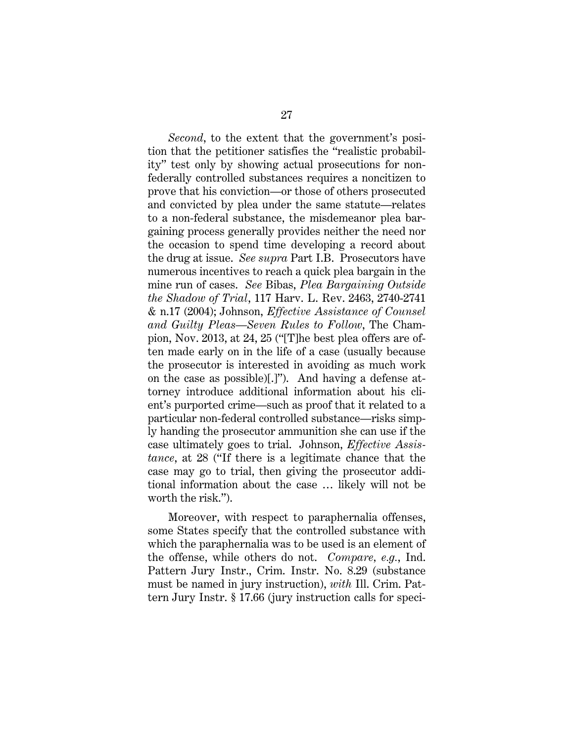*Second*, to the extent that the government's position that the petitioner satisfies the "realistic probability" test only by showing actual prosecutions for nonfederally controlled substances requires a noncitizen to prove that his conviction—or those of others prosecuted and convicted by plea under the same statute—relates to a non-federal substance, the misdemeanor plea bargaining process generally provides neither the need nor the occasion to spend time developing a record about the drug at issue. *See supra* Part I.B. Prosecutors have numerous incentives to reach a quick plea bargain in the mine run of cases. *See* Bibas, *Plea Bargaining Outside the Shadow of Trial*, 117 Harv. L. Rev. 2463, 2740-2741 & n.17 (2004); Johnson, *Effective Assistance of Counsel and Guilty Pleas—Seven Rules to Follow*, The Champion, Nov. 2013, at 24, 25 ("[T]he best plea offers are often made early on in the life of a case (usually because the prosecutor is interested in avoiding as much work on the case as possible)[.]"). And having a defense attorney introduce additional information about his client's purported crime—such as proof that it related to a particular non-federal controlled substance—risks simply handing the prosecutor ammunition she can use if the case ultimately goes to trial. Johnson, *Effective Assistance*, at 28 ("If there is a legitimate chance that the case may go to trial, then giving the prosecutor additional information about the case … likely will not be worth the risk.").

Moreover, with respect to paraphernalia offenses, some States specify that the controlled substance with which the paraphernalia was to be used is an element of the offense, while others do not. *Compare, e.g.*, Ind. Pattern Jury Instr., Crim. Instr. No. 8.29 (substance must be named in jury instruction), *with* Ill. Crim. Pattern Jury Instr. § 17.66 (jury instruction calls for speci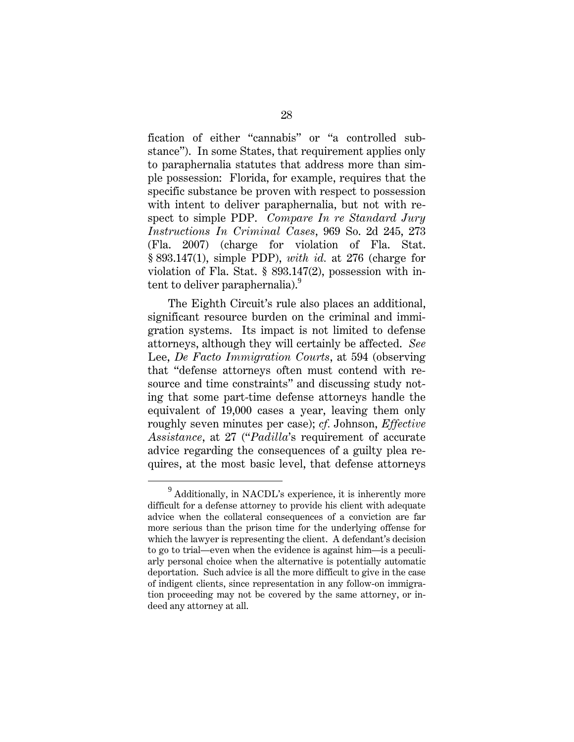fication of either "cannabis" or "a controlled substance").In some States, that requirement applies only to paraphernalia statutes that address more than simple possession: Florida, for example, requires that the specific substance be proven with respect to possession with intent to deliver paraphernalia, but not with respect to simple PDP. *Compare In re Standard Jury Instructions In Criminal Cases*, 969 So. 2d 245, 273 (Fla. 2007) (charge for violation of Fla. Stat. § 893.147(1), simple PDP), *with id.* at 276 (charge for violation of Fla. Stat. § 893.147(2), possession with intent to deliver paraphernalia).<sup>9</sup>

The Eighth Circuit's rule also places an additional, significant resource burden on the criminal and immigration systems. Its impact is not limited to defense attorneys, although they will certainly be affected. *See*  Lee, *De Facto Immigration Courts*, at 594 (observing that "defense attorneys often must contend with resource and time constraints" and discussing study noting that some part-time defense attorneys handle the equivalent of 19,000 cases a year, leaving them only roughly seven minutes per case); *cf.* Johnson, *Effective Assistance*, at 27 ("*Padilla*'s requirement of accurate advice regarding the consequences of a guilty plea requires, at the most basic level, that defense attorneys

 $\frac{1}{9}$  $^{9}$  Additionally, in NACDL's experience, it is inherently more difficult for a defense attorney to provide his client with adequate advice when the collateral consequences of a conviction are far more serious than the prison time for the underlying offense for which the lawyer is representing the client. A defendant's decision to go to trial—even when the evidence is against him—is a peculiarly personal choice when the alternative is potentially automatic deportation. Such advice is all the more difficult to give in the case of indigent clients, since representation in any follow-on immigration proceeding may not be covered by the same attorney, or indeed any attorney at all.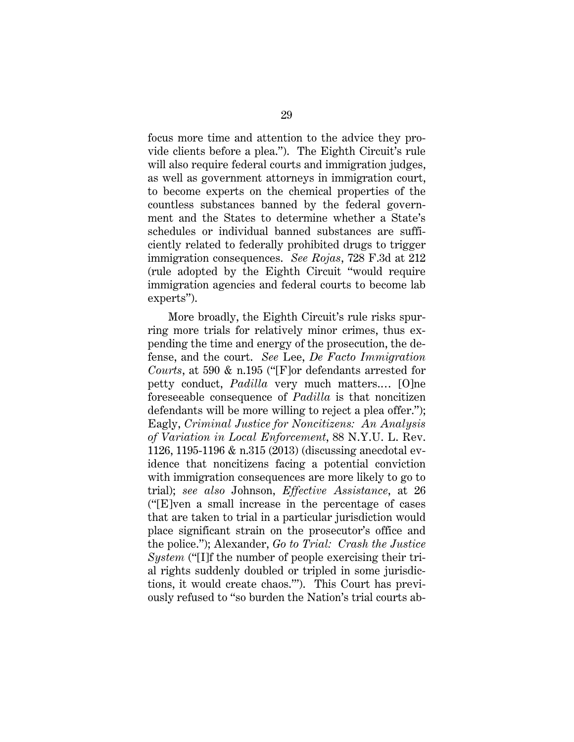focus more time and attention to the advice they provide clients before a plea."). The Eighth Circuit's rule will also require federal courts and immigration judges, as well as government attorneys in immigration court, to become experts on the chemical properties of the countless substances banned by the federal government and the States to determine whether a State's schedules or individual banned substances are sufficiently related to federally prohibited drugs to trigger immigration consequences. *See Rojas*, 728 F.3d at 212 (rule adopted by the Eighth Circuit "would require immigration agencies and federal courts to become lab experts").

More broadly, the Eighth Circuit's rule risks spurring more trials for relatively minor crimes, thus expending the time and energy of the prosecution, the defense, and the court. *See* Lee, *De Facto Immigration Courts*, at 590 & n.195 ("[F]or defendants arrested for petty conduct, *Padilla* very much matters.… [O]ne foreseeable consequence of *Padilla* is that noncitizen defendants will be more willing to reject a plea offer."); Eagly, *Criminal Justice for Noncitizens: An Analysis of Variation in Local Enforcement*, 88 N.Y.U. L. Rev. 1126, 1195-1196 & n.315 (2013) (discussing anecdotal evidence that noncitizens facing a potential conviction with immigration consequences are more likely to go to trial); *see also* Johnson, *Effective Assistance*, at 26 ("[E]ven a small increase in the percentage of cases that are taken to trial in a particular jurisdiction would place significant strain on the prosecutor's office and the police."); Alexander, *Go to Trial: Crash the Justice System* ("[I]f the number of people exercising their trial rights suddenly doubled or tripled in some jurisdictions, it would create chaos.'"). This Court has previously refused to "so burden the Nation's trial courts ab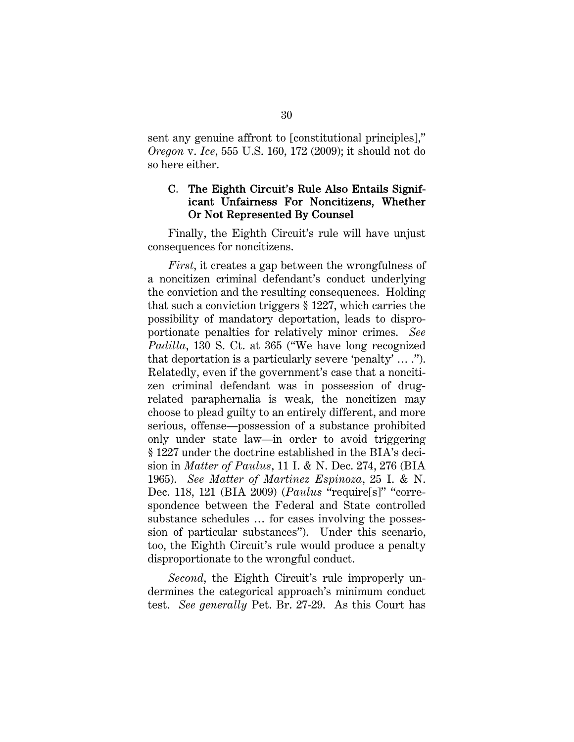sent any genuine affront to [constitutional principles]," *Oregon* v. *Ice*, 555 U.S. 160, 172 (2009); it should not do so here either.

#### C. The Eighth Circuit's Rule Also Entails Significant Unfairness For Noncitizens, Whether Or Not Represented By Counsel

Finally, the Eighth Circuit's rule will have unjust consequences for noncitizens.

*First*, it creates a gap between the wrongfulness of a noncitizen criminal defendant's conduct underlying the conviction and the resulting consequences. Holding that such a conviction triggers § 1227, which carries the possibility of mandatory deportation, leads to disproportionate penalties for relatively minor crimes. *See Padilla*, 130 S. Ct. at 365 ("We have long recognized that deportation is a particularly severe 'penalty' … ."). Relatedly, even if the government's case that a noncitizen criminal defendant was in possession of drugrelated paraphernalia is weak, the noncitizen may choose to plead guilty to an entirely different, and more serious, offense—possession of a substance prohibited only under state law—in order to avoid triggering § 1227 under the doctrine established in the BIA's decision in *Matter of Paulus*, 11 I. & N. Dec. 274, 276 (BIA 1965). *See Matter of Martinez Espinoza*, 25 I. & N. Dec. 118, 121 (BIA 2009) (*Paulus* "require[s]" "correspondence between the Federal and State controlled substance schedules … for cases involving the possession of particular substances"). Under this scenario, too, the Eighth Circuit's rule would produce a penalty disproportionate to the wrongful conduct.

*Second*, the Eighth Circuit's rule improperly undermines the categorical approach's minimum conduct test. *See generally* Pet. Br. 27-29. As this Court has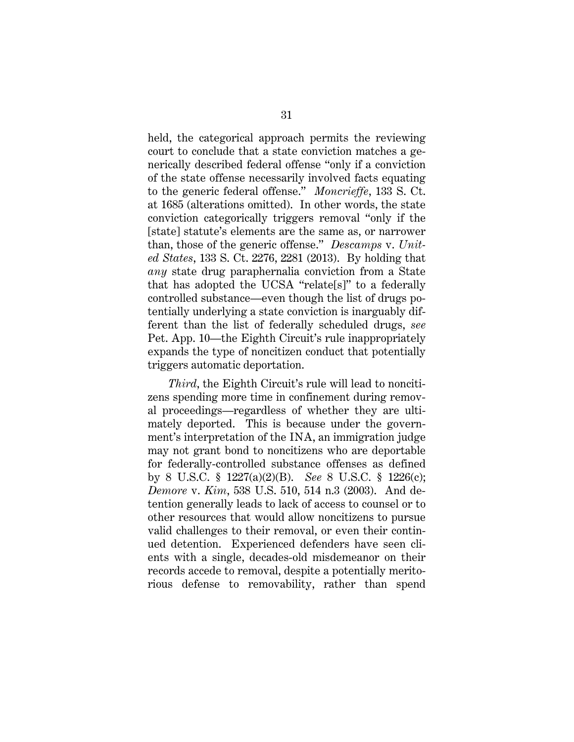held, the categorical approach permits the reviewing court to conclude that a state conviction matches a generically described federal offense "only if a conviction of the state offense necessarily involved facts equating to the generic federal offense." *Moncrieffe*, 133 S. Ct. at 1685 (alterations omitted). In other words, the state conviction categorically triggers removal "only if the [state] statute's elements are the same as, or narrower than, those of the generic offense." *Descamps* v. *United States*, 133 S. Ct. 2276, 2281 (2013). By holding that *any* state drug paraphernalia conviction from a State that has adopted the UCSA "relate[s]" to a federally controlled substance—even though the list of drugs potentially underlying a state conviction is inarguably different than the list of federally scheduled drugs, *see*  Pet. App. 10—the Eighth Circuit's rule inappropriately expands the type of noncitizen conduct that potentially triggers automatic deportation.

*Third*, the Eighth Circuit's rule will lead to noncitizens spending more time in confinement during removal proceedings—regardless of whether they are ultimately deported. This is because under the government's interpretation of the INA, an immigration judge may not grant bond to noncitizens who are deportable for federally-controlled substance offenses as defined by 8 U.S.C. § 1227(a)(2)(B). *See* 8 U.S.C. § 1226(c); *Demore* v. *Kim*, 538 U.S. 510, 514 n.3 (2003). And detention generally leads to lack of access to counsel or to other resources that would allow noncitizens to pursue valid challenges to their removal, or even their continued detention. Experienced defenders have seen clients with a single, decades-old misdemeanor on their records accede to removal, despite a potentially meritorious defense to removability, rather than spend